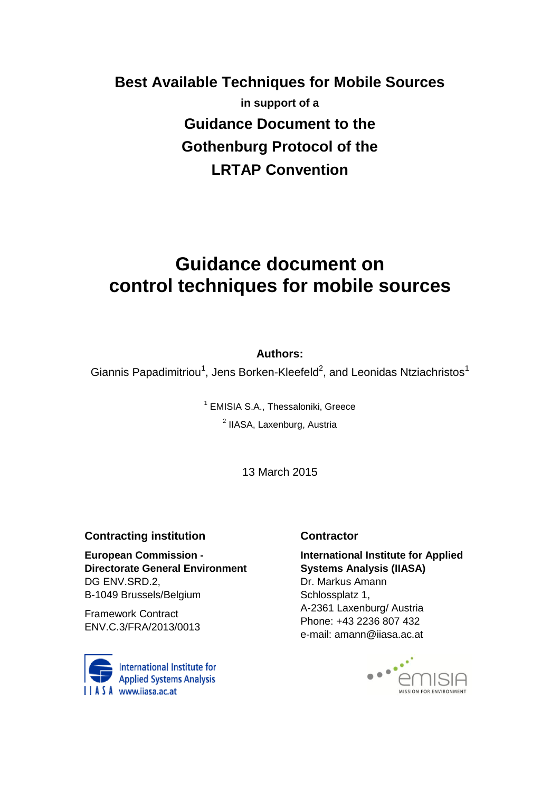# **Best Available Techniques for Mobile Sources in support of a Guidance Document to the Gothenburg Protocol of the LRTAP Convention**

# **Guidance document on control techniques for mobile sources**

## **Authors:**

Giannis Papadimitriou<sup>1</sup>, Jens Borken-Kleefeld<sup>2</sup>, and Leonidas Ntziachristos<sup>1</sup>

<sup>1</sup> EMISIA S.A., Thessaloniki, Greece <sup>2</sup> IIASA, Laxenburg, Austria

13 March 2015

#### **Contracting institution**

**European Commission - Directorate General Environment** DG ENV.SRD.2, B-1049 Brussels/Belgium

Framework Contract ENV.C.3/FRA/2013/0013



#### **Contractor**

**International Institute for Applied Systems Analysis (IIASA)**  Dr. Markus Amann Schlossplatz 1, A-2361 Laxenburg/ Austria Phone: +43 2236 807 432 e-mail: amann@iiasa.ac.at

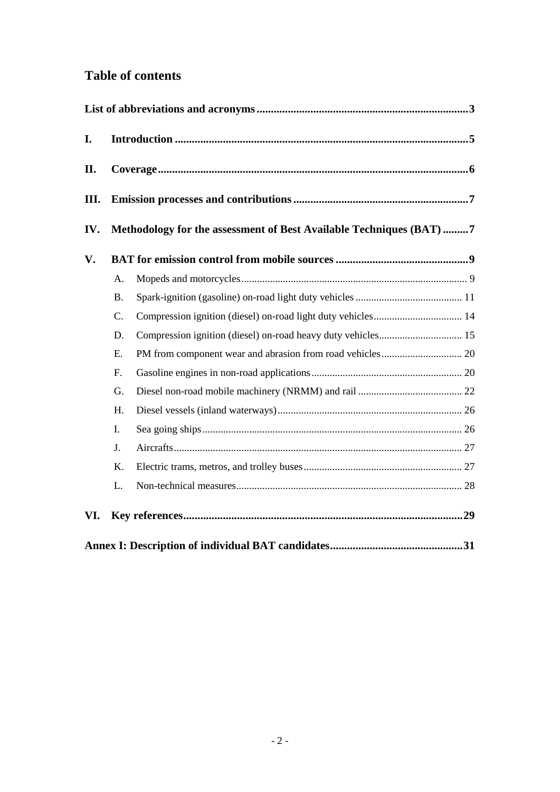# **Table of contents**

| I.   |                                                                     |                                                              |  |
|------|---------------------------------------------------------------------|--------------------------------------------------------------|--|
| II.  |                                                                     |                                                              |  |
| III. |                                                                     |                                                              |  |
| IV.  | Methodology for the assessment of Best Available Techniques (BAT) 7 |                                                              |  |
| V.   |                                                                     |                                                              |  |
|      | A.                                                                  |                                                              |  |
|      | <b>B.</b>                                                           |                                                              |  |
|      | C.                                                                  | Compression ignition (diesel) on-road light duty vehicles 14 |  |
|      | D.                                                                  |                                                              |  |
|      | E.                                                                  |                                                              |  |
|      | F.                                                                  |                                                              |  |
|      | G.                                                                  |                                                              |  |
|      | H.                                                                  |                                                              |  |
|      | I.                                                                  |                                                              |  |
|      | J.                                                                  |                                                              |  |
|      | K.                                                                  |                                                              |  |
|      | L.                                                                  |                                                              |  |
| VI.  |                                                                     |                                                              |  |
|      |                                                                     |                                                              |  |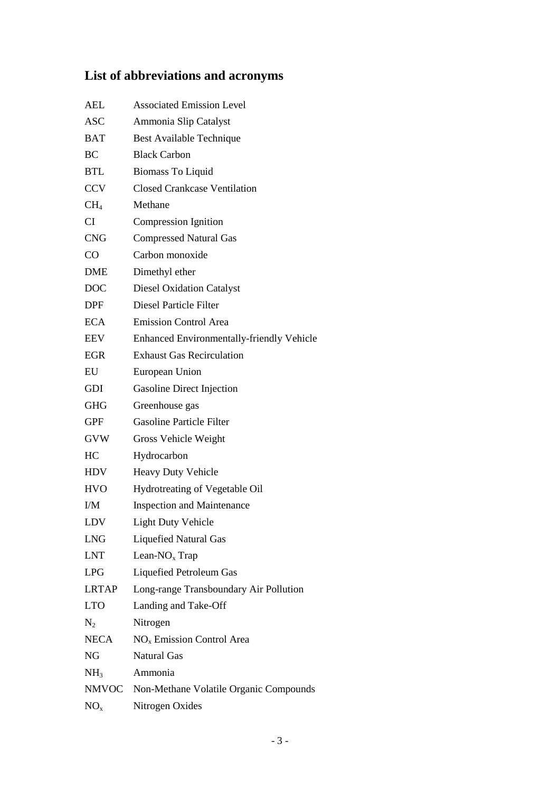# <span id="page-2-0"></span>**List of abbreviations and acronyms**

| <b>AEL</b>      | <b>Associated Emission Level</b>                 |
|-----------------|--------------------------------------------------|
| <b>ASC</b>      | Ammonia Slip Catalyst                            |
| BAT             | Best Available Technique                         |
| BC              | <b>Black Carbon</b>                              |
| <b>BTL</b>      | <b>Biomass To Liquid</b>                         |
| <b>CCV</b>      | <b>Closed Crankcase Ventilation</b>              |
| CH <sub>4</sub> | Methane                                          |
| CI              | Compression Ignition                             |
| <b>CNG</b>      | <b>Compressed Natural Gas</b>                    |
| CO              | Carbon monoxide                                  |
| <b>DME</b>      | Dimethyl ether                                   |
| DOC             | <b>Diesel Oxidation Catalyst</b>                 |
| DPF             | Diesel Particle Filter                           |
| <b>ECA</b>      | <b>Emission Control Area</b>                     |
| EEV             | <b>Enhanced Environmentally-friendly Vehicle</b> |
| <b>EGR</b>      | <b>Exhaust Gas Recirculation</b>                 |
| EU              | European Union                                   |
| GDI             | <b>Gasoline Direct Injection</b>                 |
| <b>GHG</b>      | Greenhouse gas                                   |
| <b>GPF</b>      | <b>Gasoline Particle Filter</b>                  |
| <b>GVW</b>      | Gross Vehicle Weight                             |
| HC              | Hydrocarbon                                      |
| <b>HDV</b>      | Heavy Duty Vehicle                               |
| <b>HVO</b>      | Hydrotreating of Vegetable Oil                   |
| I/M             | <b>Inspection and Maintenance</b>                |
| LDV             | <b>Light Duty Vehicle</b>                        |
| <b>LNG</b>      | <b>Liquefied Natural Gas</b>                     |
| LNT             | Lean- $NOx$ Trap                                 |
| LPG             | Liquefied Petroleum Gas                          |
| <b>LRTAP</b>    | Long-range Transboundary Air Pollution           |
| LTO             | Landing and Take-Off                             |
| $\rm N_2$       | Nitrogen                                         |
| NECA            | $NOx$ Emission Control Area                      |
| NG              | <b>Natural Gas</b>                               |
| NH <sub>3</sub> | Ammonia                                          |
|                 | NMVOC Non-Methane Volatile Organic Compounds     |
| $NO_{x}$        | Nitrogen Oxides                                  |
|                 |                                                  |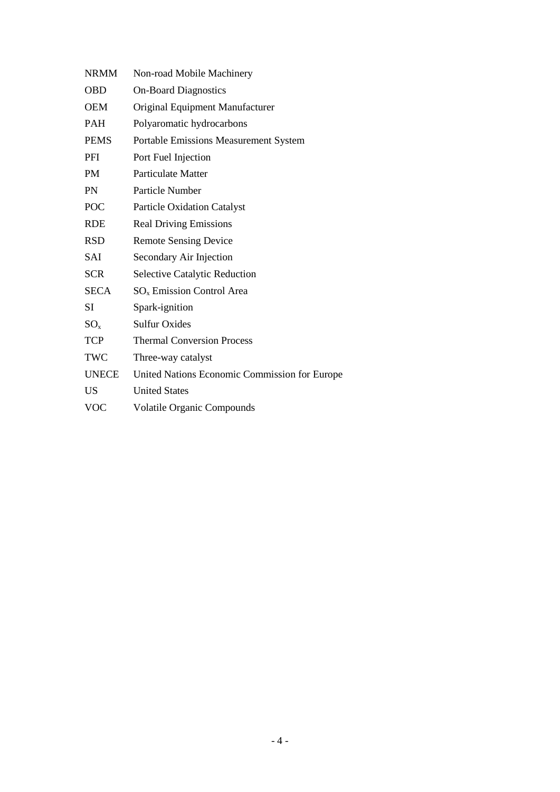| <b>NRMM</b>  | Non-road Mobile Machinery                     |
|--------------|-----------------------------------------------|
| <b>OBD</b>   | <b>On-Board Diagnostics</b>                   |
| <b>OEM</b>   | Original Equipment Manufacturer               |
| <b>PAH</b>   | Polyaromatic hydrocarbons                     |
| <b>PEMS</b>  | <b>Portable Emissions Measurement System</b>  |
| PFI          | Port Fuel Injection                           |
| <b>PM</b>    | <b>Particulate Matter</b>                     |
| <b>PN</b>    | Particle Number                               |
| POC          | <b>Particle Oxidation Catalyst</b>            |
| <b>RDE</b>   | <b>Real Driving Emissions</b>                 |
| <b>RSD</b>   | <b>Remote Sensing Device</b>                  |
| SAI          | Secondary Air Injection                       |
| <b>SCR</b>   | <b>Selective Catalytic Reduction</b>          |
| <b>SECA</b>  | $SOx$ Emission Control Area                   |
| SI           | Spark-ignition                                |
| $SO_{x}$     | <b>Sulfur Oxides</b>                          |
| <b>TCP</b>   | <b>Thermal Conversion Process</b>             |
| TWC          | Three-way catalyst                            |
| <b>UNECE</b> | United Nations Economic Commission for Europe |
| <b>US</b>    | <b>United States</b>                          |
| <b>VOC</b>   | <b>Volatile Organic Compounds</b>             |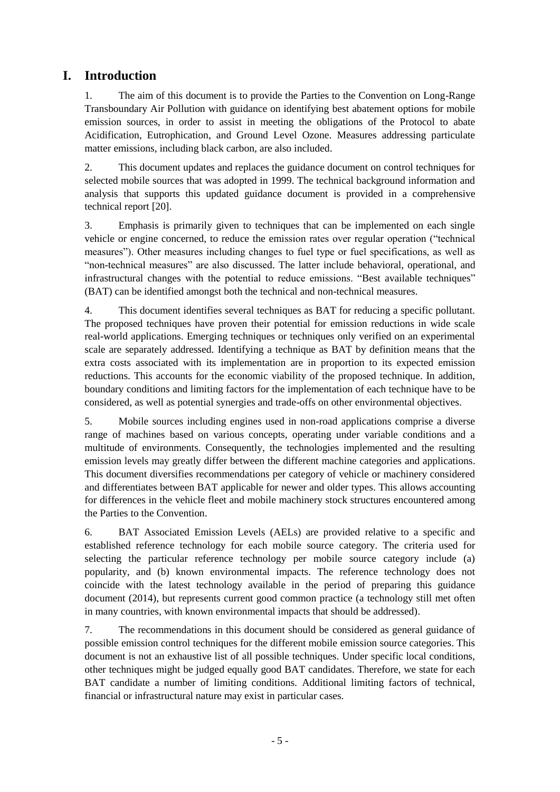# <span id="page-4-0"></span>**I. Introduction**

1. The aim of this document is to provide the Parties to the Convention on Long-Range Transboundary Air Pollution with guidance on identifying best abatement options for mobile emission sources, in order to assist in meeting the obligations of the Protocol to abate Acidification, Eutrophication, and Ground Level Ozone. Measures addressing particulate matter emissions, including black carbon, are also included.

2. This document updates and replaces the guidance document on control techniques for selected mobile sources that was adopted in 1999. The technical background information and analysis that supports this updated guidance document is provided in a comprehensive technical report [\[20\]](#page-29-0).

3. Emphasis is primarily given to techniques that can be implemented on each single vehicle or engine concerned, to reduce the emission rates over regular operation ("technical measures"). Other measures including changes to fuel type or fuel specifications, as well as "non-technical measures" are also discussed. The latter include behavioral, operational, and infrastructural changes with the potential to reduce emissions. "Best available techniques" (BAT) can be identified amongst both the technical and non-technical measures.

4. This document identifies several techniques as BAT for reducing a specific pollutant. The proposed techniques have proven their potential for emission reductions in wide scale real-world applications. Emerging techniques or techniques only verified on an experimental scale are separately addressed. Identifying a technique as BAT by definition means that the extra costs associated with its implementation are in proportion to its expected emission reductions. This accounts for the economic viability of the proposed technique. In addition, boundary conditions and limiting factors for the implementation of each technique have to be considered, as well as potential synergies and trade-offs on other environmental objectives.

5. Mobile sources including engines used in non-road applications comprise a diverse range of machines based on various concepts, operating under variable conditions and a multitude of environments. Consequently, the technologies implemented and the resulting emission levels may greatly differ between the different machine categories and applications. This document diversifies recommendations per category of vehicle or machinery considered and differentiates between BAT applicable for newer and older types. This allows accounting for differences in the vehicle fleet and mobile machinery stock structures encountered among the Parties to the Convention.

6. BAT Associated Emission Levels (AELs) are provided relative to a specific and established reference technology for each mobile source category. The criteria used for selecting the particular reference technology per mobile source category include (a) popularity, and (b) known environmental impacts. The reference technology does not coincide with the latest technology available in the period of preparing this guidance document (2014), but represents current good common practice (a technology still met often in many countries, with known environmental impacts that should be addressed).

7. The recommendations in this document should be considered as general guidance of possible emission control techniques for the different mobile emission source categories. This document is not an exhaustive list of all possible techniques. Under specific local conditions, other techniques might be judged equally good BAT candidates. Therefore, we state for each BAT candidate a number of limiting conditions. Additional limiting factors of technical, financial or infrastructural nature may exist in particular cases.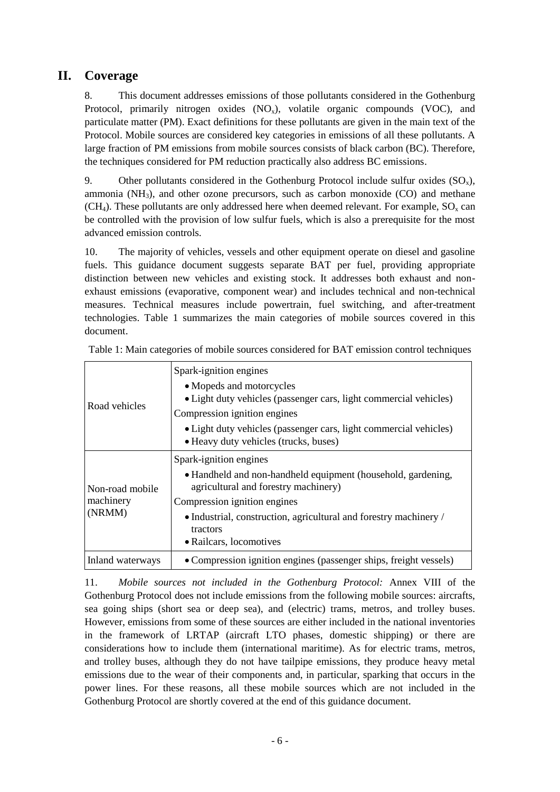# **II. Coverage**

<span id="page-5-0"></span>8. This document addresses emissions of those pollutants considered in the Gothenburg Protocol, primarily nitrogen oxides  $(NO_x)$ , volatile organic compounds  $(VOC)$ , and particulate matter (PM). Exact definitions for these pollutants are given in the main text of the Protocol. Mobile sources are considered key categories in emissions of all these pollutants. A large fraction of PM emissions from mobile sources consists of black carbon (BC). Therefore, the techniques considered for PM reduction practically also address BC emissions.

9. Other pollutants considered in the Gothenburg Protocol include sulfur oxides  $(SO_x)$ , ammonia  $(NH_3)$ , and other ozone precursors, such as carbon monoxide  $(CO)$  and methane  $(CH<sub>4</sub>)$ . These pollutants are only addressed here when deemed relevant. For example,  $SO<sub>x</sub>$  can be controlled with the provision of low sulfur fuels, which is also a prerequisite for the most advanced emission controls.

10. The majority of vehicles, vessels and other equipment operate on diesel and gasoline fuels. This guidance document suggests separate BAT per fuel, providing appropriate distinction between new vehicles and existing stock. It addresses both exhaust and nonexhaust emissions (evaporative, component wear) and includes technical and non-technical measures. Technical measures include powertrain, fuel switching, and after-treatment technologies. [Table 1](#page-5-1) summarizes the main categories of mobile sources covered in this document.

|                  | Spark-ignition engines                                                                                     |
|------------------|------------------------------------------------------------------------------------------------------------|
|                  | • Mopeds and motorcycles                                                                                   |
| Road vehicles    | • Light duty vehicles (passenger cars, light commercial vehicles)                                          |
|                  | Compression ignition engines                                                                               |
|                  | • Light duty vehicles (passenger cars, light commercial vehicles)<br>• Heavy duty vehicles (trucks, buses) |
|                  | Spark-ignition engines                                                                                     |
| Non-road mobile  | • Handheld and non-handheld equipment (household, gardening,<br>agricultural and forestry machinery)       |
| machinery        | Compression ignition engines                                                                               |
| (NRMM)           | • Industrial, construction, agricultural and forestry machinery /<br>tractors                              |
|                  | • Railcars, locomotives                                                                                    |
| Inland waterways | • Compression ignition engines (passenger ships, freight vessels)                                          |

<span id="page-5-1"></span>Table 1: Main categories of mobile sources considered for BAT emission control techniques

11. *Mobile sources not included in the Gothenburg Protocol:* Annex VIII of the Gothenburg Protocol does not include emissions from the following mobile sources: aircrafts, sea going ships (short sea or deep sea), and (electric) trams, metros, and trolley buses. However, emissions from some of these sources are either included in the national inventories in the framework of LRTAP (aircraft LTO phases, domestic shipping) or there are considerations how to include them (international maritime). As for electric trams, metros, and trolley buses, although they do not have tailpipe emissions, they produce heavy metal emissions due to the wear of their components and, in particular, sparking that occurs in the power lines. For these reasons, all these mobile sources which are not included in the Gothenburg Protocol are shortly covered at the end of this guidance document.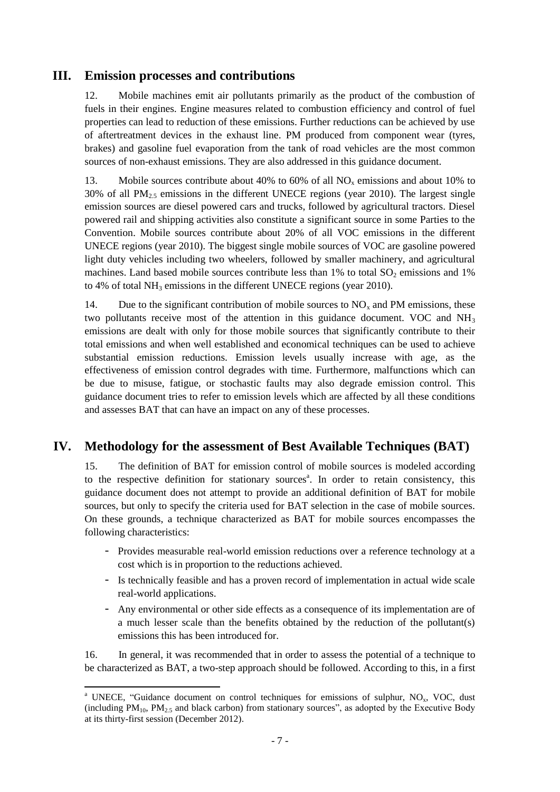# **III. Emission processes and contributions**

<span id="page-6-0"></span>12. Mobile machines emit air pollutants primarily as the product of the combustion of fuels in their engines. Engine measures related to combustion efficiency and control of fuel properties can lead to reduction of these emissions. Further reductions can be achieved by use of aftertreatment devices in the exhaust line. PM produced from component wear (tyres, brakes) and gasoline fuel evaporation from the tank of road vehicles are the most common sources of non-exhaust emissions. They are also addressed in this guidance document.

13. Mobile sources contribute about 40% to 60% of all  $NO<sub>x</sub>$  emissions and about 10% to  $30\%$  of all PM<sub>2.5</sub> emissions in the different UNECE regions (year 2010). The largest single emission sources are diesel powered cars and trucks, followed by agricultural tractors. Diesel powered rail and shipping activities also constitute a significant source in some Parties to the Convention. Mobile sources contribute about 20% of all VOC emissions in the different UNECE regions (year 2010). The biggest single mobile sources of VOC are gasoline powered light duty vehicles including two wheelers, followed by smaller machinery, and agricultural machines. Land based mobile sources contribute less than  $1\%$  to total  $SO_2$  emissions and  $1\%$ to 4% of total  $NH<sub>3</sub>$  emissions in the different UNECE regions (year 2010).

14. Due to the significant contribution of mobile sources to  $NO<sub>x</sub>$  and PM emissions, these two pollutants receive most of the attention in this guidance document. VOC and  $NH<sub>3</sub>$ emissions are dealt with only for those mobile sources that significantly contribute to their total emissions and when well established and economical techniques can be used to achieve substantial emission reductions. Emission levels usually increase with age, as the effectiveness of emission control degrades with time. Furthermore, malfunctions which can be due to misuse, fatigue, or stochastic faults may also degrade emission control. This guidance document tries to refer to emission levels which are affected by all these conditions and assesses BAT that can have an impact on any of these processes.

# <span id="page-6-1"></span>**IV. Methodology for the assessment of Best Available Techniques (BAT)**

15. The definition of BAT for emission control of mobile sources is modeled according to the respective definition for stationary sources<sup>a</sup>. In order to retain consistency, this guidance document does not attempt to provide an additional definition of BAT for mobile sources, but only to specify the criteria used for BAT selection in the case of mobile sources. On these grounds, a technique characterized as BAT for mobile sources encompasses the following characteristics:

- Provides measurable real-world emission reductions over a reference technology at a cost which is in proportion to the reductions achieved.
- Is technically feasible and has a proven record of implementation in actual wide scale real-world applications.
- Any environmental or other side effects as a consequence of its implementation are of a much lesser scale than the benefits obtained by the reduction of the pollutant(s) emissions this has been introduced for.

16. In general, it was recommended that in order to assess the potential of a technique to be characterized as BAT, a two-step approach should be followed. According to this, in a first

1

<sup>&</sup>lt;sup>a</sup> UNECE, "Guidance document on control techniques for emissions of sulphur, NO<sub>x</sub>, VOC, dust (including  $PM_{10}$ ,  $PM_{2.5}$  and black carbon) from stationary sources", as adopted by the Executive Body at its thirty-first session (December 2012).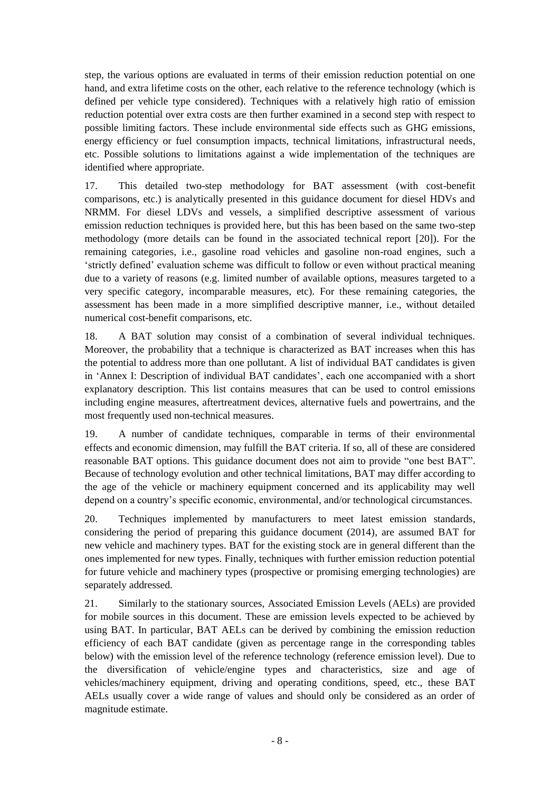step, the various options are evaluated in terms of their emission reduction potential on one hand, and extra lifetime costs on the other, each relative to the reference technology (which is defined per vehicle type considered). Techniques with a relatively high ratio of emission reduction potential over extra costs are then further examined in a second step with respect to possible limiting factors. These include environmental side effects such as GHG emissions, energy efficiency or fuel consumption impacts, technical limitations, infrastructural needs, etc. Possible solutions to limitations against a wide implementation of the techniques are identified where appropriate.

17. This detailed two-step methodology for BAT assessment (with cost-benefit comparisons, etc.) is analytically presented in this guidance document for diesel HDVs and NRMM. For diesel LDVs and vessels, a simplified descriptive assessment of various emission reduction techniques is provided here, but this has been based on the same two-step methodology (more details can be found in the associated technical report [\[20\]](#page-29-0)). For the remaining categories, i.e., gasoline road vehicles and gasoline non-road engines, such a 'strictly defined' evaluation scheme was difficult to follow or even without practical meaning due to a variety of reasons (e.g. limited number of available options, measures targeted to a very specific category, incomparable measures, etc). For these remaining categories, the assessment has been made in a more simplified descriptive manner, i.e., without detailed numerical cost-benefit comparisons, etc.

18. A BAT solution may consist of a combination of several individual techniques. Moreover, the probability that a technique is characterized as BAT increases when this has the potential to address more than one pollutant. A list of individual BAT candidates is given in 'Annex [I: Description of individual BAT candidates'](#page-30-0), each one accompanied with a short explanatory description. This list contains measures that can be used to control emissions including engine measures, aftertreatment devices, alternative fuels and powertrains, and the most frequently used non-technical measures.

19. A number of candidate techniques, comparable in terms of their environmental effects and economic dimension, may fulfill the BAT criteria. If so, all of these are considered reasonable BAT options. This guidance document does not aim to provide "one best BAT". Because of technology evolution and other technical limitations, BAT may differ according to the age of the vehicle or machinery equipment concerned and its applicability may well depend on a country's specific economic, environmental, and/or technological circumstances.

20. Techniques implemented by manufacturers to meet latest emission standards, considering the period of preparing this guidance document (2014), are assumed BAT for new vehicle and machinery types. BAT for the existing stock are in general different than the ones implemented for new types. Finally, techniques with further emission reduction potential for future vehicle and machinery types (prospective or promising emerging technologies) are separately addressed.

21. Similarly to the stationary sources, Associated Emission Levels (AELs) are provided for mobile sources in this document. These are emission levels expected to be achieved by using BAT. In particular, BAT AELs can be derived by combining the emission reduction efficiency of each BAT candidate (given as percentage range in the corresponding tables below) with the emission level of the reference technology (reference emission level). Due to the diversification of vehicle/engine types and characteristics, size and age of vehicles/machinery equipment, driving and operating conditions, speed, etc., these BAT AELs usually cover a wide range of values and should only be considered as an order of magnitude estimate.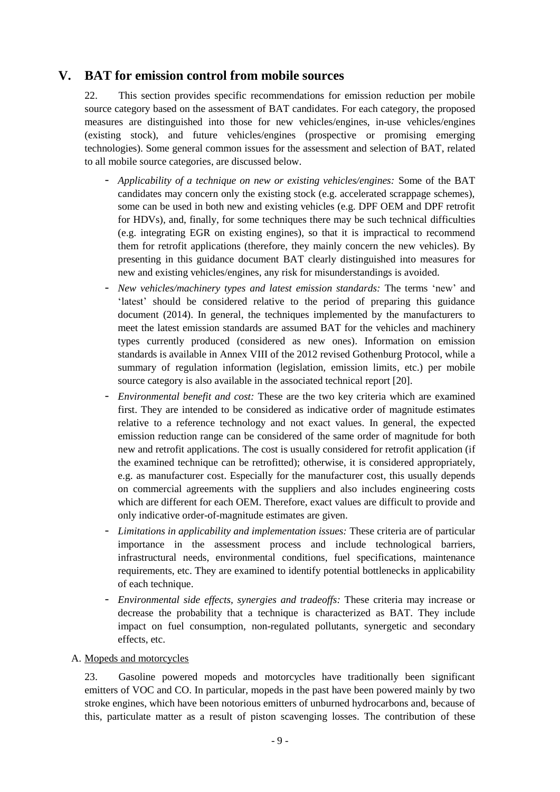# **V. BAT for emission control from mobile sources**

<span id="page-8-0"></span>22. This section provides specific recommendations for emission reduction per mobile source category based on the assessment of BAT candidates. For each category, the proposed measures are distinguished into those for new vehicles/engines, in-use vehicles/engines (existing stock), and future vehicles/engines (prospective or promising emerging technologies). Some general common issues for the assessment and selection of BAT, related to all mobile source categories, are discussed below.

- *Applicability of a technique on new or existing vehicles/engines:* Some of the BAT candidates may concern only the existing stock (e.g. accelerated scrappage schemes), some can be used in both new and existing vehicles (e.g. DPF OEM and DPF retrofit for HDVs), and, finally, for some techniques there may be such technical difficulties (e.g. integrating EGR on existing engines), so that it is impractical to recommend them for retrofit applications (therefore, they mainly concern the new vehicles). By presenting in this guidance document BAT clearly distinguished into measures for new and existing vehicles/engines, any risk for misunderstandings is avoided.
- *New vehicles/machinery types and latest emission standards:* The terms 'new' and 'latest' should be considered relative to the period of preparing this guidance document (2014). In general, the techniques implemented by the manufacturers to meet the latest emission standards are assumed BAT for the vehicles and machinery types currently produced (considered as new ones). Information on emission standards is available in Annex VIII of the 2012 revised Gothenburg Protocol, while a summary of regulation information (legislation, emission limits, etc.) per mobile source category is also available in the associated technical report [\[20\]](#page-29-0).
- *Environmental benefit and cost:* These are the two key criteria which are examined first. They are intended to be considered as indicative order of magnitude estimates relative to a reference technology and not exact values. In general, the expected emission reduction range can be considered of the same order of magnitude for both new and retrofit applications. The cost is usually considered for retrofit application (if the examined technique can be retrofitted); otherwise, it is considered appropriately, e.g. as manufacturer cost. Especially for the manufacturer cost, this usually depends on commercial agreements with the suppliers and also includes engineering costs which are different for each OEM. Therefore, exact values are difficult to provide and only indicative order-of-magnitude estimates are given.
- *Limitations in applicability and implementation issues:* These criteria are of particular importance in the assessment process and include technological barriers, infrastructural needs, environmental conditions, fuel specifications, maintenance requirements, etc. They are examined to identify potential bottlenecks in applicability of each technique.
- *Environmental side effects, synergies and tradeoffs:* These criteria may increase or decrease the probability that a technique is characterized as BAT. They include impact on fuel consumption, non-regulated pollutants, synergetic and secondary effects, etc.

<span id="page-8-1"></span>A. Mopeds and motorcycles

23. Gasoline powered mopeds and motorcycles have traditionally been significant emitters of VOC and CO. In particular, mopeds in the past have been powered mainly by two stroke engines, which have been notorious emitters of unburned hydrocarbons and, because of this, particulate matter as a result of piston scavenging losses. The contribution of these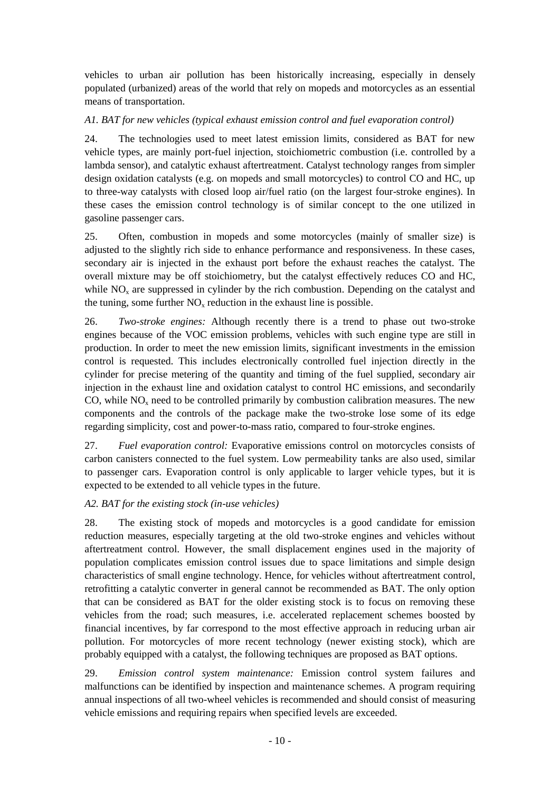vehicles to urban air pollution has been historically increasing, especially in densely populated (urbanized) areas of the world that rely on mopeds and motorcycles as an essential means of transportation.

### *A1. BAT for new vehicles (typical exhaust emission control and fuel evaporation control)*

24. The technologies used to meet latest emission limits, considered as BAT for new vehicle types, are mainly port-fuel injection, stoichiometric combustion (i.e. controlled by a lambda sensor), and catalytic exhaust aftertreatment. Catalyst technology ranges from simpler design oxidation catalysts (e.g. on mopeds and small motorcycles) to control CO and HC, up to three-way catalysts with closed loop air/fuel ratio (on the largest four-stroke engines). In these cases the emission control technology is of similar concept to the one utilized in gasoline passenger cars.

25. Often, combustion in mopeds and some motorcycles (mainly of smaller size) is adjusted to the slightly rich side to enhance performance and responsiveness. In these cases, secondary air is injected in the exhaust port before the exhaust reaches the catalyst. The overall mixture may be off stoichiometry, but the catalyst effectively reduces CO and HC, while  $NO<sub>x</sub>$  are suppressed in cylinder by the rich combustion. Depending on the catalyst and the tuning, some further  $NO<sub>x</sub>$  reduction in the exhaust line is possible.

26. *Two-stroke engines:* Although recently there is a trend to phase out two-stroke engines because of the VOC emission problems, vehicles with such engine type are still in production. In order to meet the new emission limits, significant investments in the emission control is requested. This includes electronically controlled fuel injection directly in the cylinder for precise metering of the quantity and timing of the fuel supplied, secondary air injection in the exhaust line and oxidation catalyst to control HC emissions, and secondarily CO, while  $NO<sub>x</sub>$  need to be controlled primarily by combustion calibration measures. The new components and the controls of the package make the two-stroke lose some of its edge regarding simplicity, cost and power-to-mass ratio, compared to four-stroke engines.

27. *Fuel evaporation control:* Evaporative emissions control on motorcycles consists of carbon canisters connected to the fuel system. Low permeability tanks are also used, similar to passenger cars. Evaporation control is only applicable to larger vehicle types, but it is expected to be extended to all vehicle types in the future.

### *A2. BAT for the existing stock (in-use vehicles)*

28. The existing stock of mopeds and motorcycles is a good candidate for emission reduction measures, especially targeting at the old two-stroke engines and vehicles without aftertreatment control. However, the small displacement engines used in the majority of population complicates emission control issues due to space limitations and simple design characteristics of small engine technology. Hence, for vehicles without aftertreatment control, retrofitting a catalytic converter in general cannot be recommended as BAT. The only option that can be considered as BAT for the older existing stock is to focus on removing these vehicles from the road; such measures, i.e. accelerated replacement schemes boosted by financial incentives, by far correspond to the most effective approach in reducing urban air pollution. For motorcycles of more recent technology (newer existing stock), which are probably equipped with a catalyst, the following techniques are proposed as BAT options.

29. *Emission control system maintenance:* Emission control system failures and malfunctions can be identified by inspection and maintenance schemes. A program requiring annual inspections of all two-wheel vehicles is recommended and should consist of measuring vehicle emissions and requiring repairs when specified levels are exceeded.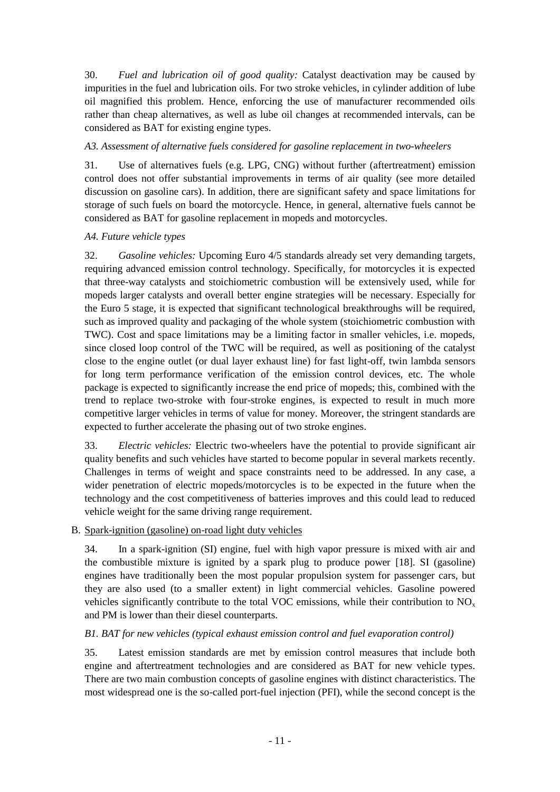30. *Fuel and lubrication oil of good quality:* Catalyst deactivation may be caused by impurities in the fuel and lubrication oils. For two stroke vehicles, in cylinder addition of lube oil magnified this problem. Hence, enforcing the use of manufacturer recommended oils rather than cheap alternatives, as well as lube oil changes at recommended intervals, can be considered as BAT for existing engine types.

#### *A3. Assessment of alternative fuels considered for gasoline replacement in two-wheelers*

31. Use of alternatives fuels (e.g. LPG, CNG) without further (aftertreatment) emission control does not offer substantial improvements in terms of air quality (see more detailed discussion on gasoline cars). In addition, there are significant safety and space limitations for storage of such fuels on board the motorcycle. Hence, in general, alternative fuels cannot be considered as BAT for gasoline replacement in mopeds and motorcycles.

#### *A4. Future vehicle types*

32. *Gasoline vehicles:* Upcoming Euro 4/5 standards already set very demanding targets, requiring advanced emission control technology. Specifically, for motorcycles it is expected that three-way catalysts and stoichiometric combustion will be extensively used, while for mopeds larger catalysts and overall better engine strategies will be necessary. Especially for the Euro 5 stage, it is expected that significant technological breakthroughs will be required, such as improved quality and packaging of the whole system (stoichiometric combustion with TWC). Cost and space limitations may be a limiting factor in smaller vehicles, i.e. mopeds, since closed loop control of the TWC will be required, as well as positioning of the catalyst close to the engine outlet (or dual layer exhaust line) for fast light-off, twin lambda sensors for long term performance verification of the emission control devices, etc. The whole package is expected to significantly increase the end price of mopeds; this, combined with the trend to replace two-stroke with four-stroke engines, is expected to result in much more competitive larger vehicles in terms of value for money. Moreover, the stringent standards are expected to further accelerate the phasing out of two stroke engines.

33. *Electric vehicles:* Electric two-wheelers have the potential to provide significant air quality benefits and such vehicles have started to become popular in several markets recently. Challenges in terms of weight and space constraints need to be addressed. In any case, a wider penetration of electric mopeds/motorcycles is to be expected in the future when the technology and the cost competitiveness of batteries improves and this could lead to reduced vehicle weight for the same driving range requirement.

### <span id="page-10-0"></span>B. Spark-ignition (gasoline) on-road light duty vehicles

34. In a spark-ignition (SI) engine, fuel with high vapor pressure is mixed with air and the combustible mixture is ignited by a spark plug to produce power [\[18\]](#page-29-1). SI (gasoline) engines have traditionally been the most popular propulsion system for passenger cars, but they are also used (to a smaller extent) in light commercial vehicles. Gasoline powered vehicles significantly contribute to the total VOC emissions, while their contribution to  $NO<sub>x</sub>$ and PM is lower than their diesel counterparts.

#### *B1. BAT for new vehicles (typical exhaust emission control and fuel evaporation control)*

35. Latest emission standards are met by emission control measures that include both engine and aftertreatment technologies and are considered as BAT for new vehicle types. There are two main combustion concepts of gasoline engines with distinct characteristics. The most widespread one is the so-called port-fuel injection (PFI), while the second concept is the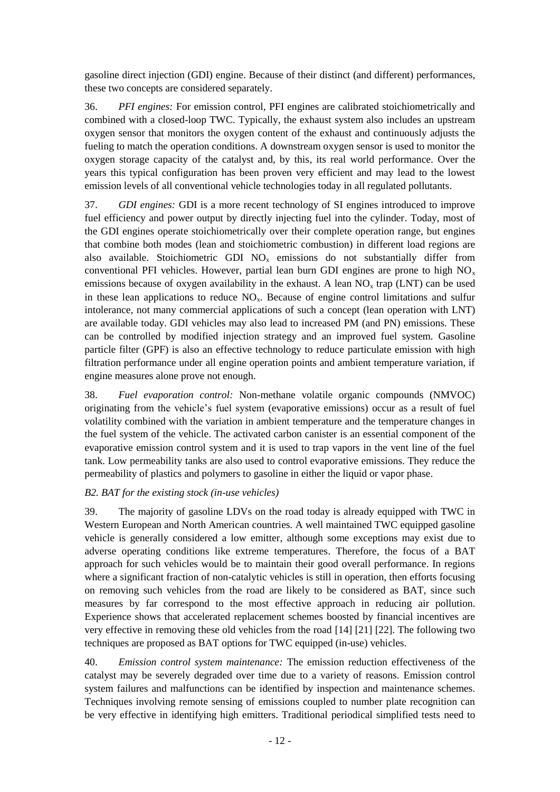gasoline direct injection (GDI) engine. Because of their distinct (and different) performances, these two concepts are considered separately.

36. *PFI engines:* For emission control, PFI engines are calibrated stoichiometrically and combined with a closed-loop TWC. Typically, the exhaust system also includes an upstream oxygen sensor that monitors the oxygen content of the exhaust and continuously adjusts the fueling to match the operation conditions. A downstream oxygen sensor is used to monitor the oxygen storage capacity of the catalyst and, by this, its real world performance. Over the years this typical configuration has been proven very efficient and may lead to the lowest emission levels of all conventional vehicle technologies today in all regulated pollutants.

37. *GDI engines:* GDI is a more recent technology of SI engines introduced to improve fuel efficiency and power output by directly injecting fuel into the cylinder. Today, most of the GDI engines operate stoichiometrically over their complete operation range, but engines that combine both modes (lean and stoichiometric combustion) in different load regions are also available. Stoichiometric GDI  $NO<sub>x</sub>$  emissions do not substantially differ from conventional PFI vehicles. However, partial lean burn GDI engines are prone to high  $NO<sub>x</sub>$ emissions because of oxygen availability in the exhaust. A lean  $NO<sub>x</sub>$  trap (LNT) can be used in these lean applications to reduce  $NO<sub>x</sub>$ . Because of engine control limitations and sulfur intolerance, not many commercial applications of such a concept (lean operation with LNT) are available today. GDI vehicles may also lead to increased PM (and PN) emissions. These can be controlled by modified injection strategy and an improved fuel system. Gasoline particle filter (GPF) is also an effective technology to reduce particulate emission with high filtration performance under all engine operation points and ambient temperature variation, if engine measures alone prove not enough.

38. *Fuel evaporation control:* Non-methane volatile organic compounds (NMVOC) originating from the vehicle's fuel system (evaporative emissions) occur as a result of fuel volatility combined with the variation in ambient temperature and the temperature changes in the fuel system of the vehicle. The activated carbon canister is an essential component of the evaporative emission control system and it is used to trap vapors in the vent line of the fuel tank. Low permeability tanks are also used to control evaporative emissions. They reduce the permeability of plastics and polymers to gasoline in either the liquid or vapor phase.

### *B2. BAT for the existing stock (in-use vehicles)*

39. The majority of gasoline LDVs on the road today is already equipped with TWC in Western European and North American countries. A well maintained TWC equipped gasoline vehicle is generally considered a low emitter, although some exceptions may exist due to adverse operating conditions like extreme temperatures. Therefore, the focus of a BAT approach for such vehicles would be to maintain their good overall performance. In regions where a significant fraction of non-catalytic vehicles is still in operation, then efforts focusing on removing such vehicles from the road are likely to be considered as BAT, since such measures by far correspond to the most effective approach in reducing air pollution. Experience shows that accelerated replacement schemes boosted by financial incentives are very effective in removing these old vehicles from the road [\[14\]](#page-28-1) [\[21\]](#page-29-2) [\[22\]](#page-29-3). The following two techniques are proposed as BAT options for TWC equipped (in-use) vehicles.

40. *Emission control system maintenance:* The emission reduction effectiveness of the catalyst may be severely degraded over time due to a variety of reasons. Emission control system failures and malfunctions can be identified by inspection and maintenance schemes. Techniques involving remote sensing of emissions coupled to number plate recognition can be very effective in identifying high emitters. Traditional periodical simplified tests need to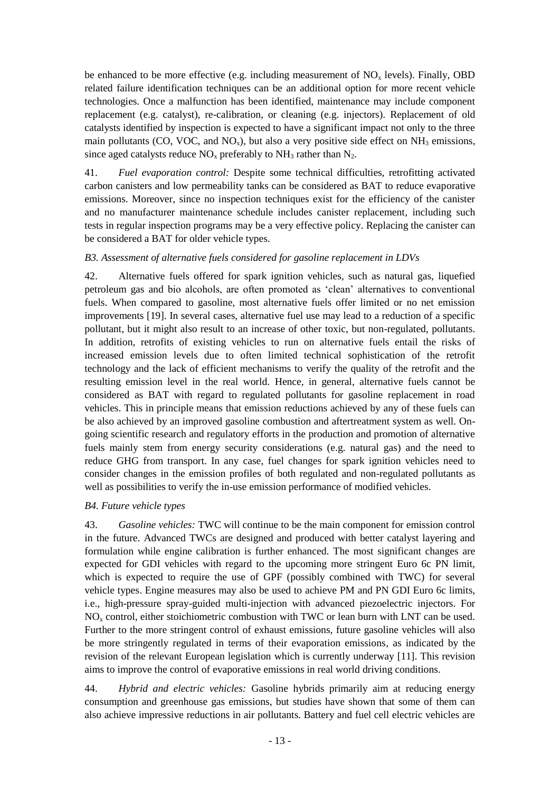be enhanced to be more effective (e.g. including measurement of  $NO<sub>x</sub>$  levels). Finally, OBD related failure identification techniques can be an additional option for more recent vehicle technologies. Once a malfunction has been identified, maintenance may include component replacement (e.g. catalyst), re-calibration, or cleaning (e.g. injectors). Replacement of old catalysts identified by inspection is expected to have a significant impact not only to the three main pollutants (CO, VOC, and  $NO_x$ ), but also a very positive side effect on  $NH_3$  emissions, since aged catalysts reduce  $NO<sub>x</sub>$  preferably to  $NH<sub>3</sub>$  rather than  $N<sub>2</sub>$ .

41. *Fuel evaporation control:* Despite some technical difficulties, retrofitting activated carbon canisters and low permeability tanks can be considered as BAT to reduce evaporative emissions. Moreover, since no inspection techniques exist for the efficiency of the canister and no manufacturer maintenance schedule includes canister replacement, including such tests in regular inspection programs may be a very effective policy. Replacing the canister can be considered a BAT for older vehicle types.

### *B3. Assessment of alternative fuels considered for gasoline replacement in LDVs*

42. Alternative fuels offered for spark ignition vehicles, such as natural gas, liquefied petroleum gas and bio alcohols, are often promoted as 'clean' alternatives to conventional fuels. When compared to gasoline, most alternative fuels offer limited or no net emission improvements [\[19\]](#page-29-4). In several cases, alternative fuel use may lead to a reduction of a specific pollutant, but it might also result to an increase of other toxic, but non-regulated, pollutants. In addition, retrofits of existing vehicles to run on alternative fuels entail the risks of increased emission levels due to often limited technical sophistication of the retrofit technology and the lack of efficient mechanisms to verify the quality of the retrofit and the resulting emission level in the real world. Hence, in general, alternative fuels cannot be considered as BAT with regard to regulated pollutants for gasoline replacement in road vehicles. This in principle means that emission reductions achieved by any of these fuels can be also achieved by an improved gasoline combustion and aftertreatment system as well. Ongoing scientific research and regulatory efforts in the production and promotion of alternative fuels mainly stem from energy security considerations (e.g. natural gas) and the need to reduce GHG from transport. In any case, fuel changes for spark ignition vehicles need to consider changes in the emission profiles of both regulated and non-regulated pollutants as well as possibilities to verify the in-use emission performance of modified vehicles.

### *B4. Future vehicle types*

43. *Gasoline vehicles:* TWC will continue to be the main component for emission control in the future. Advanced TWCs are designed and produced with better catalyst layering and formulation while engine calibration is further enhanced. The most significant changes are expected for GDI vehicles with regard to the upcoming more stringent Euro 6c PN limit, which is expected to require the use of GPF (possibly combined with TWC) for several vehicle types. Engine measures may also be used to achieve PM and PN GDI Euro 6c limits, i.e., high-pressure spray-guided multi-injection with advanced piezoelectric injectors. For  $NO<sub>x</sub>$  control, either stoichiometric combustion with TWC or lean burn with LNT can be used. Further to the more stringent control of exhaust emissions, future gasoline vehicles will also be more stringently regulated in terms of their evaporation emissions, as indicated by the revision of the relevant European legislation which is currently underway [\[11\]](#page-28-2). This revision aims to improve the control of evaporative emissions in real world driving conditions.

44. *Hybrid and electric vehicles:* Gasoline hybrids primarily aim at reducing energy consumption and greenhouse gas emissions, but studies have shown that some of them can also achieve impressive reductions in air pollutants. Battery and fuel cell electric vehicles are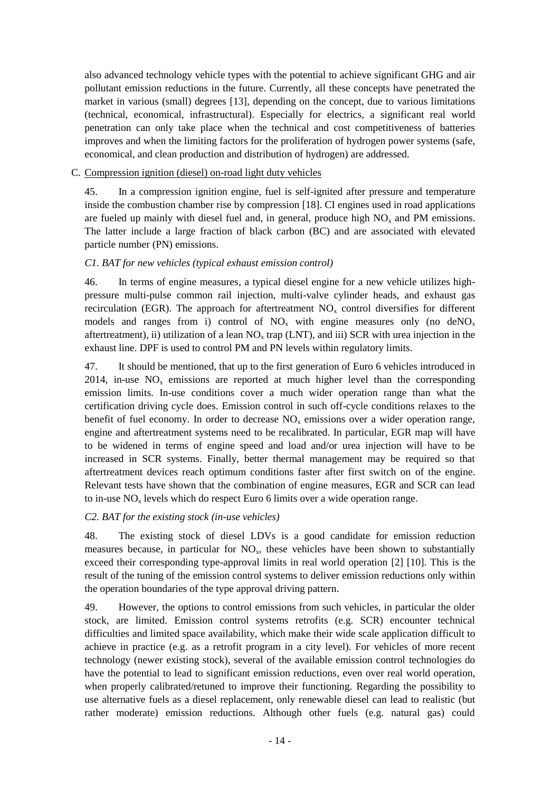also advanced technology vehicle types with the potential to achieve significant GHG and air pollutant emission reductions in the future. Currently, all these concepts have penetrated the market in various (small) degrees [\[13\]](#page-28-3), depending on the concept, due to various limitations (technical, economical, infrastructural). Especially for electrics, a significant real world penetration can only take place when the technical and cost competitiveness of batteries improves and when the limiting factors for the proliferation of hydrogen power systems (safe, economical, and clean production and distribution of hydrogen) are addressed.

### <span id="page-13-0"></span>C. Compression ignition (diesel) on-road light duty vehicles

45. In a compression ignition engine, fuel is self-ignited after pressure and temperature inside the combustion chamber rise by compression [\[18\]](#page-29-1). CI engines used in road applications are fueled up mainly with diesel fuel and, in general, produce high  $NO<sub>x</sub>$  and PM emissions. The latter include a large fraction of black carbon (BC) and are associated with elevated particle number (PN) emissions.

#### *C1. BAT for new vehicles (typical exhaust emission control)*

46. In terms of engine measures, a typical diesel engine for a new vehicle utilizes highpressure multi-pulse common rail injection, multi-valve cylinder heads, and exhaust gas recirculation (EGR). The approach for aftertreatment  $NO<sub>x</sub>$  control diversifies for different models and ranges from i) control of  $NO_x$  with engine measures only (no deNO<sub>x</sub> aftertreatment), ii) utilization of a lean  $NO<sub>x</sub>$  trap (LNT), and iii) SCR with urea injection in the exhaust line. DPF is used to control PM and PN levels within regulatory limits.

47. It should be mentioned, that up to the first generation of Euro 6 vehicles introduced in  $2014$ , in-use NO<sub>x</sub> emissions are reported at much higher level than the corresponding emission limits. In-use conditions cover a much wider operation range than what the certification driving cycle does. Emission control in such off-cycle conditions relaxes to the benefit of fuel economy. In order to decrease NO<sub>x</sub> emissions over a wider operation range, engine and aftertreatment systems need to be recalibrated. In particular, EGR map will have to be widened in terms of engine speed and load and/or urea injection will have to be increased in SCR systems. Finally, better thermal management may be required so that aftertreatment devices reach optimum conditions faster after first switch on of the engine. Relevant tests have shown that the combination of engine measures, EGR and SCR can lead to in-use  $NO<sub>x</sub>$  levels which do respect Euro 6 limits over a wide operation range.

### *C2. BAT for the existing stock (in-use vehicles)*

48. The existing stock of diesel LDVs is a good candidate for emission reduction measures because, in particular for  $NO<sub>x</sub>$ , these vehicles have been shown to substantially exceed their corresponding type-approval limits in real world operation [\[2\]](#page-28-4) [\[10\]](#page-28-5). This is the result of the tuning of the emission control systems to deliver emission reductions only within the operation boundaries of the type approval driving pattern.

49. However, the options to control emissions from such vehicles, in particular the older stock, are limited. Emission control systems retrofits (e.g. SCR) encounter technical difficulties and limited space availability, which make their wide scale application difficult to achieve in practice (e.g. as a retrofit program in a city level). For vehicles of more recent technology (newer existing stock), several of the available emission control technologies do have the potential to lead to significant emission reductions, even over real world operation, when properly calibrated/retuned to improve their functioning. Regarding the possibility to use alternative fuels as a diesel replacement, only renewable diesel can lead to realistic (but rather moderate) emission reductions. Although other fuels (e.g. natural gas) could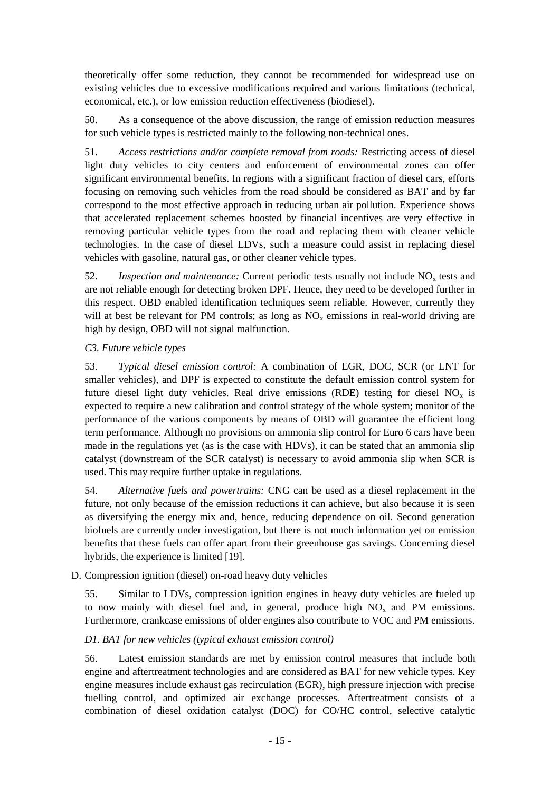theoretically offer some reduction, they cannot be recommended for widespread use on existing vehicles due to excessive modifications required and various limitations (technical, economical, etc.), or low emission reduction effectiveness (biodiesel).

50. As a consequence of the above discussion, the range of emission reduction measures for such vehicle types is restricted mainly to the following non-technical ones.

51. *Access restrictions and/or complete removal from roads:* Restricting access of diesel light duty vehicles to city centers and enforcement of environmental zones can offer significant environmental benefits. In regions with a significant fraction of diesel cars, efforts focusing on removing such vehicles from the road should be considered as BAT and by far correspond to the most effective approach in reducing urban air pollution. Experience shows that accelerated replacement schemes boosted by financial incentives are very effective in removing particular vehicle types from the road and replacing them with cleaner vehicle technologies. In the case of diesel LDVs, such a measure could assist in replacing diesel vehicles with gasoline, natural gas, or other cleaner vehicle types.

52. *Inspection and maintenance:* Current periodic tests usually not include  $NO<sub>x</sub>$  tests and are not reliable enough for detecting broken DPF. Hence, they need to be developed further in this respect. OBD enabled identification techniques seem reliable. However, currently they will at best be relevant for PM controls; as long as  $NO<sub>x</sub>$  emissions in real-world driving are high by design, OBD will not signal malfunction.

## *C3. Future vehicle types*

53. *Typical diesel emission control:* A combination of EGR, DOC, SCR (or LNT for smaller vehicles), and DPF is expected to constitute the default emission control system for future diesel light duty vehicles. Real drive emissions (RDE) testing for diesel  $NO<sub>x</sub>$  is expected to require a new calibration and control strategy of the whole system; monitor of the performance of the various components by means of OBD will guarantee the efficient long term performance. Although no provisions on ammonia slip control for Euro 6 cars have been made in the regulations yet (as is the case with HDVs), it can be stated that an ammonia slip catalyst (downstream of the SCR catalyst) is necessary to avoid ammonia slip when SCR is used. This may require further uptake in regulations.

54. *Alternative fuels and powertrains:* CNG can be used as a diesel replacement in the future, not only because of the emission reductions it can achieve, but also because it is seen as diversifying the energy mix and, hence, reducing dependence on oil. Second generation biofuels are currently under investigation, but there is not much information yet on emission benefits that these fuels can offer apart from their greenhouse gas savings. Concerning diesel hybrids, the experience is limited [\[19\]](#page-29-4).

### <span id="page-14-0"></span>D. Compression ignition (diesel) on-road heavy duty vehicles

55. Similar to LDVs, compression ignition engines in heavy duty vehicles are fueled up to now mainly with diesel fuel and, in general, produce high  $NO<sub>x</sub>$  and PM emissions. Furthermore, crankcase emissions of older engines also contribute to VOC and PM emissions.

# *D1. BAT for new vehicles (typical exhaust emission control)*

56. Latest emission standards are met by emission control measures that include both engine and aftertreatment technologies and are considered as BAT for new vehicle types. Key engine measures include exhaust gas recirculation (EGR), high pressure injection with precise fuelling control, and optimized air exchange processes. Aftertreatment consists of a combination of diesel oxidation catalyst (DOC) for CO/HC control, selective catalytic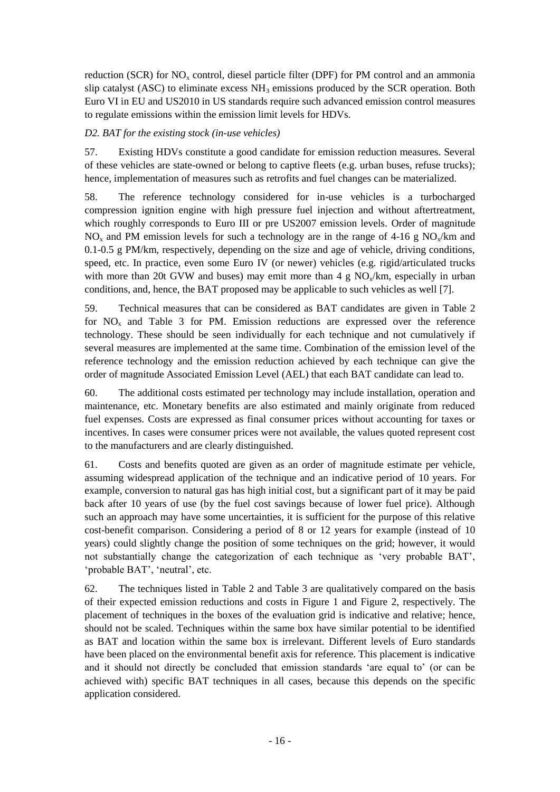reduction (SCR) for  $NO<sub>x</sub>$  control, diesel particle filter (DPF) for PM control and an ammonia slip catalyst (ASC) to eliminate excess  $NH_3$  emissions produced by the SCR operation. Both Euro VI in EU and US2010 in US standards require such advanced emission control measures to regulate emissions within the emission limit levels for HDVs.

### *D2. BAT for the existing stock (in-use vehicles)*

57. Existing HDVs constitute a good candidate for emission reduction measures. Several of these vehicles are state-owned or belong to captive fleets (e.g. urban buses, refuse trucks); hence, implementation of measures such as retrofits and fuel changes can be materialized.

58. The reference technology considered for in-use vehicles is a turbocharged compression ignition engine with high pressure fuel injection and without aftertreatment, which roughly corresponds to Euro III or pre US2007 emission levels. Order of magnitude  $NO<sub>x</sub>$  and PM emission levels for such a technology are in the range of 4-16 g NO<sub>x</sub>/km and 0.1-0.5 g PM/km, respectively, depending on the size and age of vehicle, driving conditions, speed, etc. In practice, even some Euro IV (or newer) vehicles (e.g. rigid/articulated trucks with more than 20t GVW and buses) may emit more than 4 g  $NO<sub>x</sub>/km$ , especially in urban conditions, and, hence, the BAT proposed may be applicable to such vehicles as well [\[7\]](#page-28-6).

59. Technical measures that can be considered as BAT candidates are given in [Table 2](#page-16-0) for  $NO<sub>x</sub>$  and [Table 3](#page-17-0) for PM. Emission reductions are expressed over the reference technology. These should be seen individually for each technique and not cumulatively if several measures are implemented at the same time. Combination of the emission level of the reference technology and the emission reduction achieved by each technique can give the order of magnitude Associated Emission Level (AEL) that each BAT candidate can lead to.

60. The additional costs estimated per technology may include installation, operation and maintenance, etc. Monetary benefits are also estimated and mainly originate from reduced fuel expenses. Costs are expressed as final consumer prices without accounting for taxes or incentives. In cases were consumer prices were not available, the values quoted represent cost to the manufacturers and are clearly distinguished.

61. Costs and benefits quoted are given as an order of magnitude estimate per vehicle, assuming widespread application of the technique and an indicative period of 10 years. For example, conversion to natural gas has high initial cost, but a significant part of it may be paid back after 10 years of use (by the fuel cost savings because of lower fuel price). Although such an approach may have some uncertainties, it is sufficient for the purpose of this relative cost-benefit comparison. Considering a period of 8 or 12 years for example (instead of 10 years) could slightly change the position of some techniques on the grid; however, it would not substantially change the categorization of each technique as 'very probable BAT', 'probable BAT', 'neutral', etc.

62. The techniques listed in [Table 2](#page-16-0) and [Table 3](#page-17-0) are qualitatively compared on the basis of their expected emission reductions and costs in [Figure 1](#page-16-1) and [Figure 2,](#page-17-1) respectively. The placement of techniques in the boxes of the evaluation grid is indicative and relative; hence, should not be scaled. Techniques within the same box have similar potential to be identified as BAT and location within the same box is irrelevant. Different levels of Euro standards have been placed on the environmental benefit axis for reference. This placement is indicative and it should not directly be concluded that emission standards 'are equal to' (or can be achieved with) specific BAT techniques in all cases, because this depends on the specific application considered.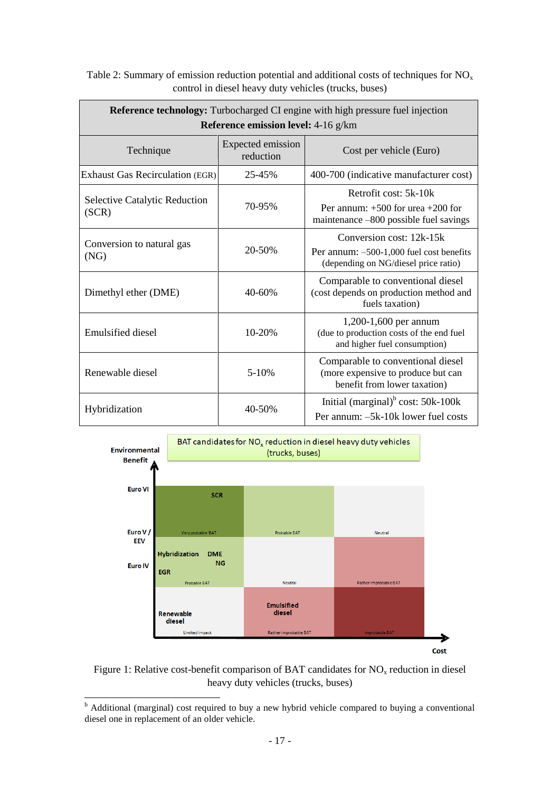| Reference technology: Turbocharged CI engine with high pressure fuel injection<br>Reference emission level: 4-16 g/km |                                |                                                                                                                |  |
|-----------------------------------------------------------------------------------------------------------------------|--------------------------------|----------------------------------------------------------------------------------------------------------------|--|
| Technique                                                                                                             | Expected emission<br>reduction | Cost per vehicle (Euro)                                                                                        |  |
| <b>Exhaust Gas Recirculation (EGR)</b>                                                                                | 25-45%                         | 400-700 (indicative manufacturer cost)                                                                         |  |
| <b>Selective Catalytic Reduction</b><br>(SCR)                                                                         | 70-95%                         | Retrofit cost: 5k-10k<br>Per annum: $+500$ for urea $+200$ for<br>maintenance -800 possible fuel savings       |  |
| Conversion to natural gas<br>(NG)                                                                                     | 20-50%                         | Conversion cost: 12k-15k<br>Per annum: $-500-1,000$ fuel cost benefits<br>(depending on NG/diesel price ratio) |  |
| Dimethyl ether (DME)                                                                                                  | $40 - 60%$                     | Comparable to conventional diesel<br>(cost depends on production method and<br>fuels taxation)                 |  |
| Emulsified diesel                                                                                                     | $10 - 20%$                     | 1,200-1,600 per annum<br>(due to production costs of the end fuel<br>and higher fuel consumption)              |  |
| Renewable diesel                                                                                                      | $5 - 10%$                      | Comparable to conventional diesel<br>(more expensive to produce but can<br>benefit from lower taxation)        |  |
| Hybridization                                                                                                         | 40-50%                         | Initial (marginal) $b$ cost: 50k-100k<br>Per annum: -5k-10k lower fuel costs                                   |  |

<span id="page-16-0"></span>

| Table 2: Summary of emission reduction potential and additional costs of techniques for $NO_x$ |
|------------------------------------------------------------------------------------------------|
| control in diesel heavy duty vehicles (trucks, buses)                                          |



<span id="page-16-1"></span>Figure 1: Relative cost-benefit comparison of BAT candidates for  $NO<sub>x</sub>$  reduction in diesel heavy duty vehicles (trucks, buses)

-

 $<sup>b</sup>$  Additional (marginal) cost required to buy a new hybrid vehicle compared to buying a conventional</sup> diesel one in replacement of an older vehicle.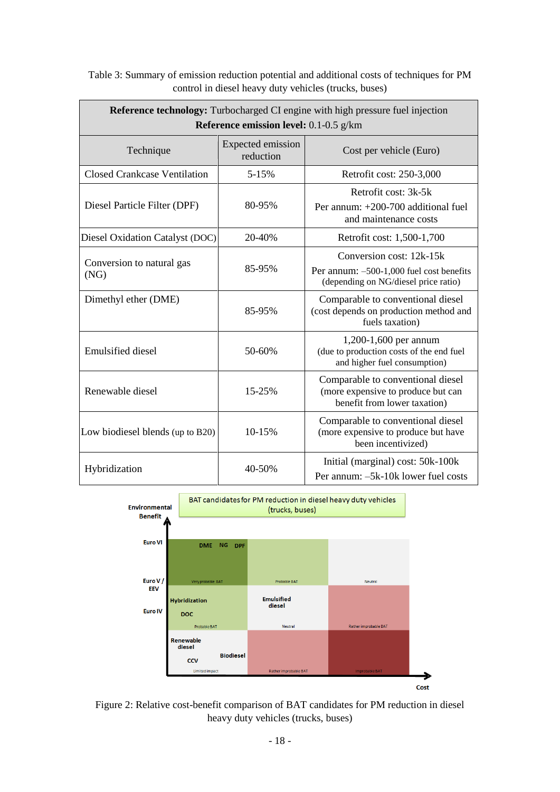| <b>Reference technology:</b> Turbocharged CI engine with high pressure fuel injection<br>Reference emission level: 0.1-0.5 g/km |                                       |                                                                                                              |  |
|---------------------------------------------------------------------------------------------------------------------------------|---------------------------------------|--------------------------------------------------------------------------------------------------------------|--|
| Technique                                                                                                                       | <b>Expected emission</b><br>reduction | Cost per vehicle (Euro)                                                                                      |  |
| <b>Closed Crankcase Ventilation</b>                                                                                             | 5-15%                                 | Retrofit cost: 250-3,000                                                                                     |  |
| Diesel Particle Filter (DPF)                                                                                                    | 80-95%                                | Retrofit cost: 3k-5k<br>Per annum: +200-700 additional fuel<br>and maintenance costs                         |  |
| Diesel Oxidation Catalyst (DOC)                                                                                                 | 20-40%                                | Retrofit cost: 1,500-1,700                                                                                   |  |
| Conversion to natural gas<br>(NG)                                                                                               | 85-95%                                | Conversion cost: 12k-15k<br>Per annum: -500-1,000 fuel cost benefits<br>(depending on NG/diesel price ratio) |  |
| Dimethyl ether (DME)                                                                                                            | 85-95%                                | Comparable to conventional diesel<br>(cost depends on production method and<br>fuels taxation)               |  |
| <b>Emulsified</b> diesel                                                                                                        | 50-60%                                | 1,200-1,600 per annum<br>(due to production costs of the end fuel<br>and higher fuel consumption)            |  |
| Renewable diesel                                                                                                                | 15-25%                                | Comparable to conventional diesel<br>(more expensive to produce but can<br>benefit from lower taxation)      |  |
| Low biodiesel blends (up to B20)                                                                                                | 10-15%                                | Comparable to conventional diesel<br>(more expensive to produce but have<br>been incentivized)               |  |
| Hybridization                                                                                                                   | 40-50%                                | Initial (marginal) cost: 50k-100k<br>Per annum: -5k-10k lower fuel costs                                     |  |

<span id="page-17-0"></span>Table 3: Summary of emission reduction potential and additional costs of techniques for PM control in diesel heavy duty vehicles (trucks, buses)



<span id="page-17-1"></span>Figure 2: Relative cost-benefit comparison of BAT candidates for PM reduction in diesel heavy duty vehicles (trucks, buses)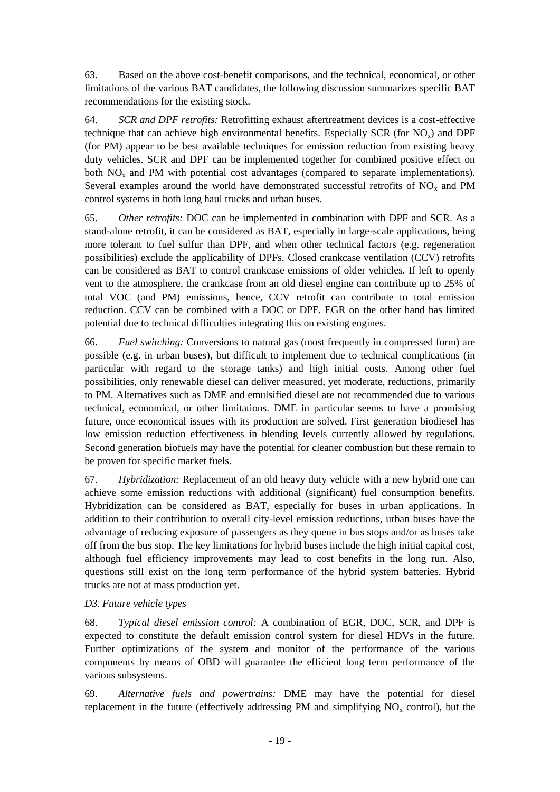63. Based on the above cost-benefit comparisons, and the technical, economical, or other limitations of the various BAT candidates, the following discussion summarizes specific BAT recommendations for the existing stock.

64. *SCR and DPF retrofits:* Retrofitting exhaust aftertreatment devices is a cost-effective technique that can achieve high environmental benefits. Especially SCR (for  $NO<sub>x</sub>$ ) and DPF (for PM) appear to be best available techniques for emission reduction from existing heavy duty vehicles. SCR and DPF can be implemented together for combined positive effect on both  $NO<sub>x</sub>$  and PM with potential cost advantages (compared to separate implementations). Several examples around the world have demonstrated successful retrofits of  $NO<sub>x</sub>$  and PM control systems in both long haul trucks and urban buses.

65. *Other retrofits:* DOC can be implemented in combination with DPF and SCR. As a stand-alone retrofit, it can be considered as BAT, especially in large-scale applications, being more tolerant to fuel sulfur than DPF, and when other technical factors (e.g. regeneration possibilities) exclude the applicability of DPFs. Closed crankcase ventilation (CCV) retrofits can be considered as BAT to control crankcase emissions of older vehicles. If left to openly vent to the atmosphere, the crankcase from an old diesel engine can contribute up to 25% of total VOC (and PM) emissions, hence, CCV retrofit can contribute to total emission reduction. CCV can be combined with a DOC or DPF. EGR on the other hand has limited potential due to technical difficulties integrating this on existing engines.

66. *Fuel switching:* Conversions to natural gas (most frequently in compressed form) are possible (e.g. in urban buses), but difficult to implement due to technical complications (in particular with regard to the storage tanks) and high initial costs. Among other fuel possibilities, only renewable diesel can deliver measured, yet moderate, reductions, primarily to PM. Alternatives such as DME and emulsified diesel are not recommended due to various technical, economical, or other limitations. DME in particular seems to have a promising future, once economical issues with its production are solved. First generation biodiesel has low emission reduction effectiveness in blending levels currently allowed by regulations. Second generation biofuels may have the potential for cleaner combustion but these remain to be proven for specific market fuels.

67. *Hybridization:* Replacement of an old heavy duty vehicle with a new hybrid one can achieve some emission reductions with additional (significant) fuel consumption benefits. Hybridization can be considered as BAT, especially for buses in urban applications. In addition to their contribution to overall city-level emission reductions, urban buses have the advantage of reducing exposure of passengers as they queue in bus stops and/or as buses take off from the bus stop. The key limitations for hybrid buses include the high initial capital cost, although fuel efficiency improvements may lead to cost benefits in the long run. Also, questions still exist on the long term performance of the hybrid system batteries. Hybrid trucks are not at mass production yet.

### *D3. Future vehicle types*

68. *Typical diesel emission control:* A combination of EGR, DOC, SCR, and DPF is expected to constitute the default emission control system for diesel HDVs in the future. Further optimizations of the system and monitor of the performance of the various components by means of OBD will guarantee the efficient long term performance of the various subsystems.

69. *Alternative fuels and powertrains:* DME may have the potential for diesel replacement in the future (effectively addressing PM and simplifying  $NO<sub>x</sub>$  control), but the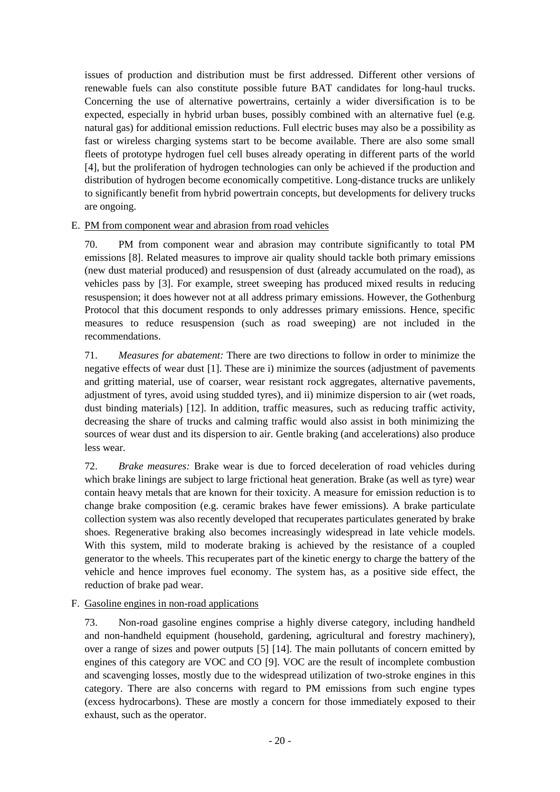issues of production and distribution must be first addressed. Different other versions of renewable fuels can also constitute possible future BAT candidates for long-haul trucks. Concerning the use of alternative powertrains, certainly a wider diversification is to be expected, especially in hybrid urban buses, possibly combined with an alternative fuel (e.g. natural gas) for additional emission reductions. Full electric buses may also be a possibility as fast or wireless charging systems start to be become available. There are also some small fleets of prototype hydrogen fuel cell buses already operating in different parts of the world [\[4\]](#page-28-7), but the proliferation of hydrogen technologies can only be achieved if the production and distribution of hydrogen become economically competitive. Long-distance trucks are unlikely to significantly benefit from hybrid powertrain concepts, but developments for delivery trucks are ongoing.

<span id="page-19-0"></span>E. PM from component wear and abrasion from road vehicles

70. PM from component wear and abrasion may contribute significantly to total PM emissions [\[8\]](#page-28-8). Related measures to improve air quality should tackle both primary emissions (new dust material produced) and resuspension of dust (already accumulated on the road), as vehicles pass by [\[3\]](#page-28-9). For example, street sweeping has produced mixed results in reducing resuspension; it does however not at all address primary emissions. However, the Gothenburg Protocol that this document responds to only addresses primary emissions. Hence, specific measures to reduce resuspension (such as road sweeping) are not included in the recommendations.

71. *Measures for abatement:* There are two directions to follow in order to minimize the negative effects of wear dust [\[1\]](#page-28-10). These are i) minimize the sources (adjustment of pavements and gritting material, use of coarser, wear resistant rock aggregates, alternative pavements, adjustment of tyres, avoid using studded tyres), and ii) minimize dispersion to air (wet roads, dust binding materials) [\[12\]](#page-28-11). In addition, traffic measures, such as reducing traffic activity, decreasing the share of trucks and calming traffic would also assist in both minimizing the sources of wear dust and its dispersion to air. Gentle braking (and accelerations) also produce less wear.

72. *Brake measures:* Brake wear is due to forced deceleration of road vehicles during which brake linings are subject to large frictional heat generation. Brake (as well as tyre) wear contain heavy metals that are known for their toxicity. A measure for emission reduction is to change brake composition (e.g. ceramic brakes have fewer emissions). A brake particulate collection system was also recently developed that recuperates particulates generated by brake shoes. Regenerative braking also becomes increasingly widespread in late vehicle models. With this system, mild to moderate braking is achieved by the resistance of a coupled generator to the wheels. This recuperates part of the kinetic energy to charge the battery of the vehicle and hence improves fuel economy. The system has, as a positive side effect, the reduction of brake pad wear.

# <span id="page-19-1"></span>F. Gasoline engines in non-road applications

73. Non-road gasoline engines comprise a highly diverse category, including handheld and non-handheld equipment (household, gardening, agricultural and forestry machinery), over a range of sizes and power outputs [\[5\]](#page-28-12) [\[14\]](#page-28-1). The main pollutants of concern emitted by engines of this category are VOC and CO [\[9\]](#page-28-13). VOC are the result of incomplete combustion and scavenging losses, mostly due to the widespread utilization of two-stroke engines in this category. There are also concerns with regard to PM emissions from such engine types (excess hydrocarbons). These are mostly a concern for those immediately exposed to their exhaust, such as the operator.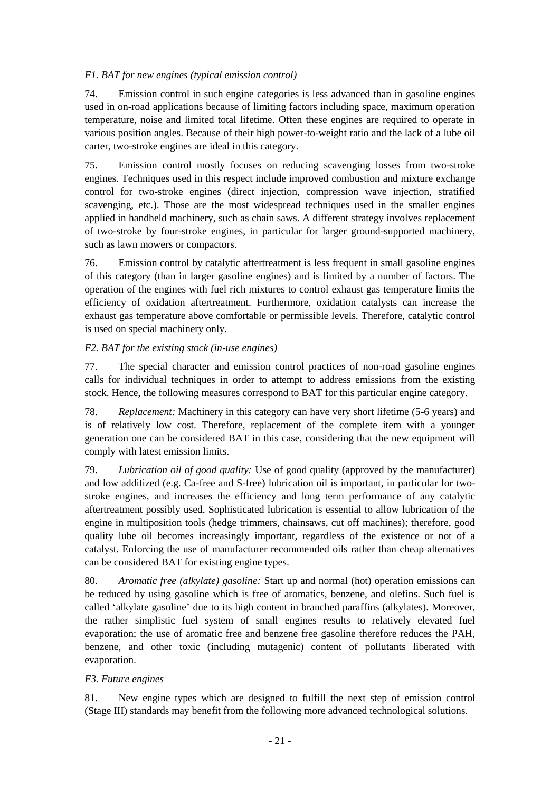## *F1. BAT for new engines (typical emission control)*

74. Emission control in such engine categories is less advanced than in gasoline engines used in on-road applications because of limiting factors including space, maximum operation temperature, noise and limited total lifetime. Often these engines are required to operate in various position angles. Because of their high power-to-weight ratio and the lack of a lube oil carter, two-stroke engines are ideal in this category.

75. Emission control mostly focuses on reducing scavenging losses from two-stroke engines. Techniques used in this respect include improved combustion and mixture exchange control for two-stroke engines (direct injection, compression wave injection, stratified scavenging, etc.). Those are the most widespread techniques used in the smaller engines applied in handheld machinery, such as chain saws. A different strategy involves replacement of two-stroke by four-stroke engines, in particular for larger ground-supported machinery, such as lawn mowers or compactors.

76. Emission control by catalytic aftertreatment is less frequent in small gasoline engines of this category (than in larger gasoline engines) and is limited by a number of factors. The operation of the engines with fuel rich mixtures to control exhaust gas temperature limits the efficiency of oxidation aftertreatment. Furthermore, oxidation catalysts can increase the exhaust gas temperature above comfortable or permissible levels. Therefore, catalytic control is used on special machinery only.

## *F2. BAT for the existing stock (in-use engines)*

77. The special character and emission control practices of non-road gasoline engines calls for individual techniques in order to attempt to address emissions from the existing stock. Hence, the following measures correspond to BAT for this particular engine category.

78. *Replacement:* Machinery in this category can have very short lifetime (5-6 years) and is of relatively low cost. Therefore, replacement of the complete item with a younger generation one can be considered BAT in this case, considering that the new equipment will comply with latest emission limits.

79. *Lubrication oil of good quality:* Use of good quality (approved by the manufacturer) and low additized (e.g. Ca-free and S-free) lubrication oil is important, in particular for twostroke engines, and increases the efficiency and long term performance of any catalytic aftertreatment possibly used. Sophisticated lubrication is essential to allow lubrication of the engine in multiposition tools (hedge trimmers, chainsaws, cut off machines); therefore, good quality lube oil becomes increasingly important, regardless of the existence or not of a catalyst. Enforcing the use of manufacturer recommended oils rather than cheap alternatives can be considered BAT for existing engine types.

80. *Aromatic free (alkylate) gasoline:* Start up and normal (hot) operation emissions can be reduced by using gasoline which is free of aromatics, benzene, and olefins. Such fuel is called 'alkylate gasoline' due to its high content in branched paraffins (alkylates). Moreover, the rather simplistic fuel system of small engines results to relatively elevated fuel evaporation; the use of aromatic free and benzene free gasoline therefore reduces the PAH, benzene, and other toxic (including mutagenic) content of pollutants liberated with evaporation.

### *F3. Future engines*

81. New engine types which are designed to fulfill the next step of emission control (Stage III) standards may benefit from the following more advanced technological solutions.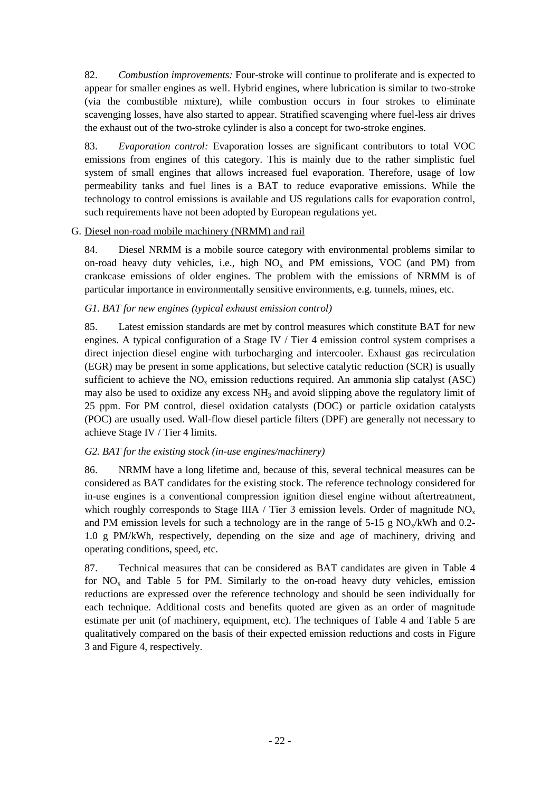82. *Combustion improvements:* Four-stroke will continue to proliferate and is expected to appear for smaller engines as well. Hybrid engines, where lubrication is similar to two-stroke (via the combustible mixture), while combustion occurs in four strokes to eliminate scavenging losses, have also started to appear. Stratified scavenging where fuel-less air drives the exhaust out of the two-stroke cylinder is also a concept for two-stroke engines.

83. *Evaporation control:* Evaporation losses are significant contributors to total VOC emissions from engines of this category. This is mainly due to the rather simplistic fuel system of small engines that allows increased fuel evaporation. Therefore, usage of low permeability tanks and fuel lines is a BAT to reduce evaporative emissions. While the technology to control emissions is available and US regulations calls for evaporation control, such requirements have not been adopted by European regulations yet.

### <span id="page-21-0"></span>G. Diesel non-road mobile machinery (NRMM) and rail

84. Diesel NRMM is a mobile source category with environmental problems similar to on-road heavy duty vehicles, i.e., high  $NO<sub>x</sub>$  and PM emissions, VOC (and PM) from crankcase emissions of older engines. The problem with the emissions of NRMM is of particular importance in environmentally sensitive environments, e.g. tunnels, mines, etc.

# *G1. BAT for new engines (typical exhaust emission control)*

85. Latest emission standards are met by control measures which constitute BAT for new engines. A typical configuration of a Stage IV / Tier 4 emission control system comprises a direct injection diesel engine with turbocharging and intercooler. Exhaust gas recirculation (EGR) may be present in some applications, but selective catalytic reduction (SCR) is usually sufficient to achieve the  $NO<sub>x</sub>$  emission reductions required. An ammonia slip catalyst (ASC) may also be used to oxidize any excess  $NH<sub>3</sub>$  and avoid slipping above the regulatory limit of 25 ppm. For PM control, diesel oxidation catalysts (DOC) or particle oxidation catalysts (POC) are usually used. Wall-flow diesel particle filters (DPF) are generally not necessary to achieve Stage IV / Tier 4 limits.

# *G2. BAT for the existing stock (in-use engines/machinery)*

86. NRMM have a long lifetime and, because of this, several technical measures can be considered as BAT candidates for the existing stock. The reference technology considered for in-use engines is a conventional compression ignition diesel engine without aftertreatment, which roughly corresponds to Stage IIIA / Tier 3 emission levels. Order of magnitude  $NO<sub>x</sub>$ and PM emission levels for such a technology are in the range of  $5-15$  g NO<sub>x</sub>/kWh and 0.2-1.0 g PM/kWh, respectively, depending on the size and age of machinery, driving and operating conditions, speed, etc.

87. Technical measures that can be considered as BAT candidates are given in [Table 4](#page-22-0) for  $NO<sub>x</sub>$  and [Table 5](#page-23-0) for PM. Similarly to the on-road heavy duty vehicles, emission reductions are expressed over the reference technology and should be seen individually for each technique. Additional costs and benefits quoted are given as an order of magnitude estimate per unit (of machinery, equipment, etc). The techniques of [Table 4](#page-22-0) and [Table 5](#page-23-0) are qualitatively compared on the basis of their expected emission reductions and costs in [Figure](#page-22-1)  [3](#page-22-1) and [Figure 4,](#page-23-1) respectively.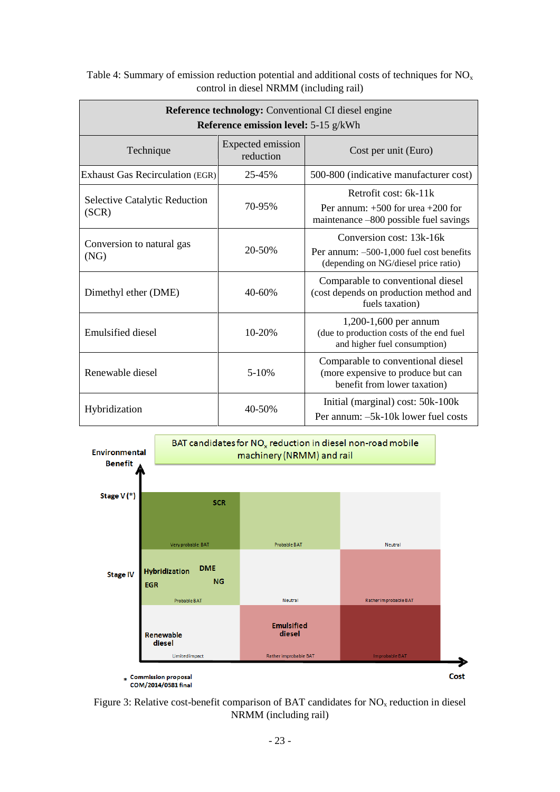| Reference technology: Conventional CI diesel engine<br><b>Reference emission level: 5-15 g/kWh</b> |                                       |                                                                                                                |  |
|----------------------------------------------------------------------------------------------------|---------------------------------------|----------------------------------------------------------------------------------------------------------------|--|
| Technique                                                                                          | <b>Expected emission</b><br>reduction | Cost per unit (Euro)                                                                                           |  |
| <b>Exhaust Gas Recirculation (EGR)</b>                                                             | 25-45%                                | 500-800 (indicative manufacturer cost)                                                                         |  |
| <b>Selective Catalytic Reduction</b><br>(SCR)                                                      | 70-95%                                | Retrofit cost: 6k-11k<br>Per annum: $+500$ for urea $+200$ for<br>maintenance -800 possible fuel savings       |  |
| Conversion to natural gas<br>(NG)                                                                  | 20-50%                                | Conversion cost: 13k-16k<br>Per annum: $-500-1,000$ fuel cost benefits<br>(depending on NG/diesel price ratio) |  |
| Dimethyl ether (DME)                                                                               | $40 - 60%$                            | Comparable to conventional diesel<br>(cost depends on production method and<br>fuels taxation)                 |  |
| Emulsified diesel                                                                                  | 10-20%                                | 1,200-1,600 per annum<br>(due to production costs of the end fuel<br>and higher fuel consumption)              |  |
| Renewable diesel                                                                                   | $5 - 10%$                             | Comparable to conventional diesel<br>(more expensive to produce but can<br>benefit from lower taxation)        |  |
| Hybridization                                                                                      | 40-50%                                | Initial (marginal) cost: 50k-100k<br>Per annum: -5k-10k lower fuel costs                                       |  |

<span id="page-22-0"></span>Table 4: Summary of emission reduction potential and additional costs of techniques for  $NO<sub>x</sub>$ control in diesel NRMM (including rail)



<span id="page-22-1"></span>Figure 3: Relative cost-benefit comparison of BAT candidates for  $NO<sub>x</sub>$  reduction in diesel NRMM (including rail)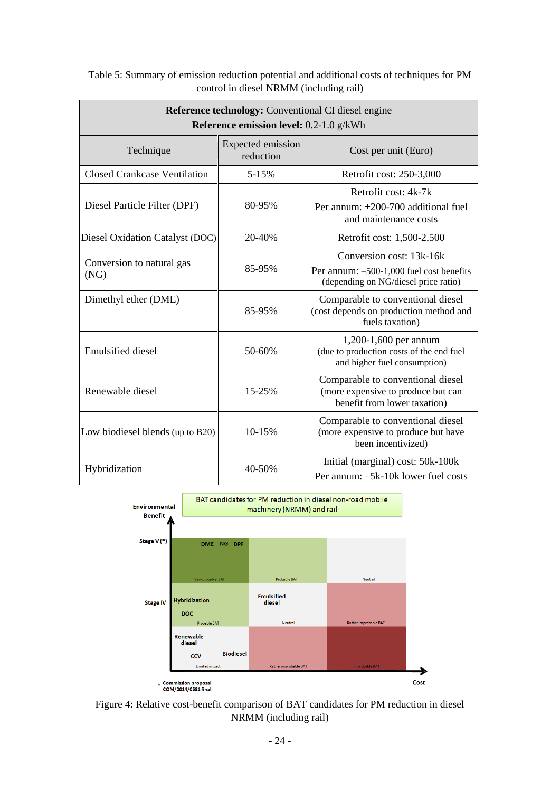| <b>Reference technology:</b> Conventional CI diesel engine<br>Reference emission level: 0.2-1.0 g/kWh |                                |                                                                                                              |  |
|-------------------------------------------------------------------------------------------------------|--------------------------------|--------------------------------------------------------------------------------------------------------------|--|
| Technique                                                                                             | Expected emission<br>reduction | Cost per unit (Euro)                                                                                         |  |
| <b>Closed Crankcase Ventilation</b>                                                                   | 5-15%                          | Retrofit cost: 250-3,000                                                                                     |  |
| Diesel Particle Filter (DPF)                                                                          | 80-95%                         | Retrofit cost: 4k-7k<br>Per annum: $+200-700$ additional fuel<br>and maintenance costs                       |  |
| Diesel Oxidation Catalyst (DOC)                                                                       | 20-40%                         | Retrofit cost: 1,500-2,500                                                                                   |  |
| Conversion to natural gas<br>(NG)                                                                     | 85-95%                         | Conversion cost: 13k-16k<br>Per annum: -500-1,000 fuel cost benefits<br>(depending on NG/diesel price ratio) |  |
| Dimethyl ether (DME)                                                                                  | 85-95%                         | Comparable to conventional diesel<br>(cost depends on production method and<br>fuels taxation)               |  |
| <b>Emulsified diesel</b>                                                                              | 50-60%                         | 1,200-1,600 per annum<br>(due to production costs of the end fuel<br>and higher fuel consumption)            |  |
| Renewable diesel                                                                                      | 15-25%                         | Comparable to conventional diesel<br>(more expensive to produce but can<br>benefit from lower taxation)      |  |
| Low biodiesel blends (up to B20)                                                                      | 10-15%                         | Comparable to conventional diesel<br>(more expensive to produce but have<br>been incentivized)               |  |
| Hybridization                                                                                         | 40-50%                         | Initial (marginal) cost: 50k-100k<br>Per annum: -5k-10k lower fuel costs                                     |  |

<span id="page-23-0"></span>Table 5: Summary of emission reduction potential and additional costs of techniques for PM control in diesel NRMM (including rail)



<span id="page-23-1"></span>Figure 4: Relative cost-benefit comparison of BAT candidates for PM reduction in diesel NRMM (including rail)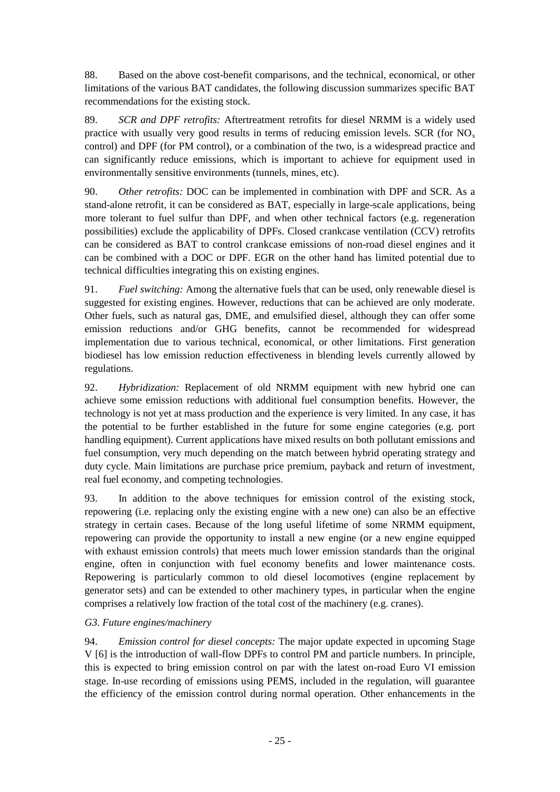88. Based on the above cost-benefit comparisons, and the technical, economical, or other limitations of the various BAT candidates, the following discussion summarizes specific BAT recommendations for the existing stock.

89. *SCR and DPF retrofits:* Aftertreatment retrofits for diesel NRMM is a widely used practice with usually very good results in terms of reducing emission levels. SCR (for  $NO<sub>x</sub>$ ) control) and DPF (for PM control), or a combination of the two, is a widespread practice and can significantly reduce emissions, which is important to achieve for equipment used in environmentally sensitive environments (tunnels, mines, etc).

90. *Other retrofits:* DOC can be implemented in combination with DPF and SCR. As a stand-alone retrofit, it can be considered as BAT, especially in large-scale applications, being more tolerant to fuel sulfur than DPF, and when other technical factors (e.g. regeneration possibilities) exclude the applicability of DPFs. Closed crankcase ventilation (CCV) retrofits can be considered as BAT to control crankcase emissions of non-road diesel engines and it can be combined with a DOC or DPF. EGR on the other hand has limited potential due to technical difficulties integrating this on existing engines.

91. *Fuel switching:* Among the alternative fuels that can be used, only renewable diesel is suggested for existing engines. However, reductions that can be achieved are only moderate. Other fuels, such as natural gas, DME, and emulsified diesel, although they can offer some emission reductions and/or GHG benefits, cannot be recommended for widespread implementation due to various technical, economical, or other limitations. First generation biodiesel has low emission reduction effectiveness in blending levels currently allowed by regulations.

92. *Hybridization:* Replacement of old NRMM equipment with new hybrid one can achieve some emission reductions with additional fuel consumption benefits. However, the technology is not yet at mass production and the experience is very limited. In any case, it has the potential to be further established in the future for some engine categories (e.g. port handling equipment). Current applications have mixed results on both pollutant emissions and fuel consumption, very much depending on the match between hybrid operating strategy and duty cycle. Main limitations are purchase price premium, payback and return of investment, real fuel economy, and competing technologies.

93. In addition to the above techniques for emission control of the existing stock, repowering (i.e. replacing only the existing engine with a new one) can also be an effective strategy in certain cases. Because of the long useful lifetime of some NRMM equipment, repowering can provide the opportunity to install a new engine (or a new engine equipped with exhaust emission controls) that meets much lower emission standards than the original engine, often in conjunction with fuel economy benefits and lower maintenance costs. Repowering is particularly common to old diesel locomotives (engine replacement by generator sets) and can be extended to other machinery types, in particular when the engine comprises a relatively low fraction of the total cost of the machinery (e.g. cranes).

### *G3. Future engines/machinery*

94. *Emission control for diesel concepts:* The major update expected in upcoming Stage V [\[6\]](#page-28-14) is the introduction of wall-flow DPFs to control PM and particle numbers. In principle, this is expected to bring emission control on par with the latest on-road Euro VI emission stage. In-use recording of emissions using PEMS, included in the regulation, will guarantee the efficiency of the emission control during normal operation. Other enhancements in the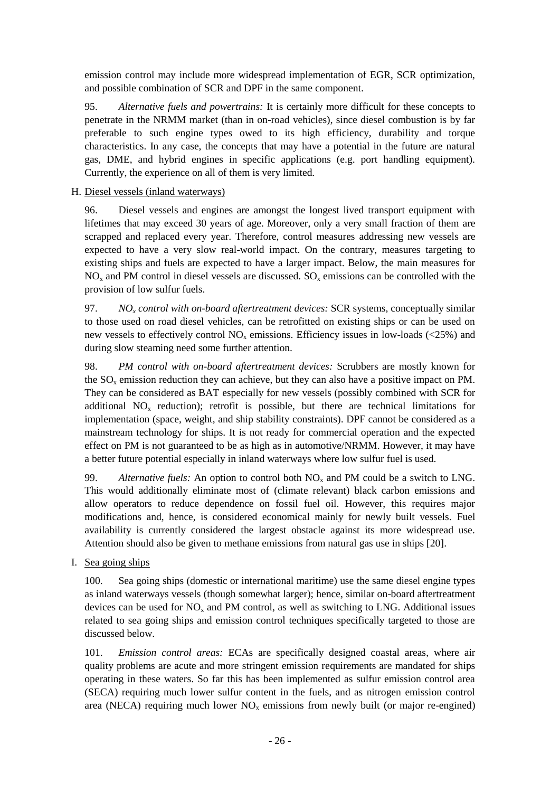emission control may include more widespread implementation of EGR, SCR optimization, and possible combination of SCR and DPF in the same component.

95. *Alternative fuels and powertrains:* It is certainly more difficult for these concepts to penetrate in the NRMM market (than in on-road vehicles), since diesel combustion is by far preferable to such engine types owed to its high efficiency, durability and torque characteristics. In any case, the concepts that may have a potential in the future are natural gas, DME, and hybrid engines in specific applications (e.g. port handling equipment). Currently, the experience on all of them is very limited.

## <span id="page-25-0"></span>H. Diesel vessels (inland waterways)

96. Diesel vessels and engines are amongst the longest lived transport equipment with lifetimes that may exceed 30 years of age. Moreover, only a very small fraction of them are scrapped and replaced every year. Therefore, control measures addressing new vessels are expected to have a very slow real-world impact. On the contrary, measures targeting to existing ships and fuels are expected to have a larger impact. Below, the main measures for  $NO<sub>x</sub>$  and PM control in diesel vessels are discussed.  $SO<sub>x</sub>$  emissions can be controlled with the provision of low sulfur fuels.

97. *NO<sup>x</sup> control with on-board aftertreatment devices:* SCR systems, conceptually similar to those used on road diesel vehicles, can be retrofitted on existing ships or can be used on new vessels to effectively control  $NO<sub>x</sub>$  emissions. Efficiency issues in low-loads (<25%) and during slow steaming need some further attention.

98. *PM control with on-board aftertreatment devices:* Scrubbers are mostly known for the  $SO_{\nu}$  emission reduction they can achieve, but they can also have a positive impact on PM. They can be considered as BAT especially for new vessels (possibly combined with SCR for additional  $NO<sub>x</sub>$  reduction); retrofit is possible, but there are technical limitations for implementation (space, weight, and ship stability constraints). DPF cannot be considered as a mainstream technology for ships. It is not ready for commercial operation and the expected effect on PM is not guaranteed to be as high as in automotive/NRMM. However, it may have a better future potential especially in inland waterways where low sulfur fuel is used.

99. *Alternative fuels:* An option to control both  $NO<sub>x</sub>$  and PM could be a switch to LNG. This would additionally eliminate most of (climate relevant) black carbon emissions and allow operators to reduce dependence on fossil fuel oil. However, this requires major modifications and, hence, is considered economical mainly for newly built vessels. Fuel availability is currently considered the largest obstacle against its more widespread use. Attention should also be given to methane emissions from natural gas use in ships [\[20\]](#page-29-0).

<span id="page-25-1"></span>I. Sea going ships

100. Sea going ships (domestic or international maritime) use the same diesel engine types as inland waterways vessels (though somewhat larger); hence, similar on-board aftertreatment devices can be used for  $NO<sub>x</sub>$  and PM control, as well as switching to LNG. Additional issues related to sea going ships and emission control techniques specifically targeted to those are discussed below.

101. *Emission control areas:* ECAs are specifically designed coastal areas, where air quality problems are acute and more stringent emission requirements are mandated for ships operating in these waters. So far this has been implemented as sulfur emission control area (SECA) requiring much lower sulfur content in the fuels, and as nitrogen emission control area (NECA) requiring much lower  $NO<sub>x</sub>$  emissions from newly built (or major re-engined)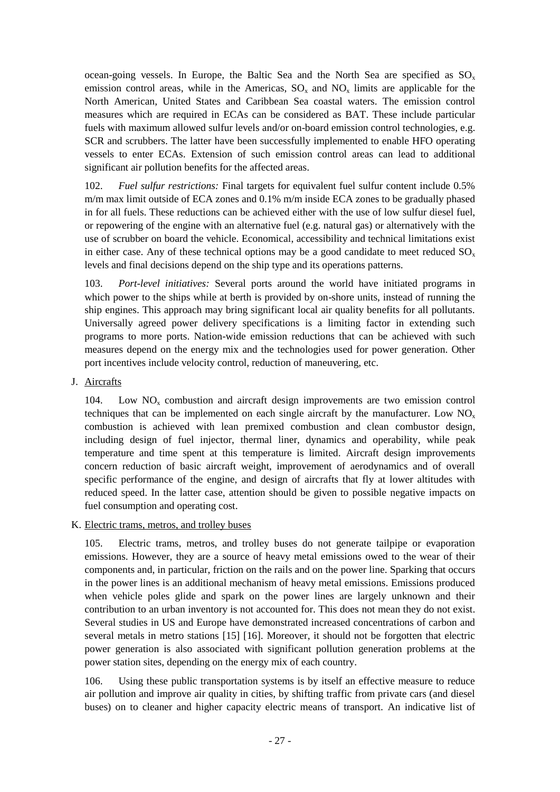ocean-going vessels. In Europe, the Baltic Sea and the North Sea are specified as  $SO_x$ emission control areas, while in the Americas,  $SO_x$  and  $NO_x$  limits are applicable for the North American, United States and Caribbean Sea coastal waters. The emission control measures which are required in ECAs can be considered as BAT. These include particular fuels with maximum allowed sulfur levels and/or on-board emission control technologies, e.g. SCR and scrubbers. The latter have been successfully implemented to enable HFO operating vessels to enter ECAs. Extension of such emission control areas can lead to additional significant air pollution benefits for the affected areas.

102. *Fuel sulfur restrictions:* Final targets for equivalent fuel sulfur content include 0.5% m/m max limit outside of ECA zones and 0.1% m/m inside ECA zones to be gradually phased in for all fuels. These reductions can be achieved either with the use of low sulfur diesel fuel, or repowering of the engine with an alternative fuel (e.g. natural gas) or alternatively with the use of scrubber on board the vehicle. Economical, accessibility and technical limitations exist in either case. Any of these technical options may be a good candidate to meet reduced  $SO_x$ levels and final decisions depend on the ship type and its operations patterns.

103. *Port-level initiatives:* Several ports around the world have initiated programs in which power to the ships while at berth is provided by on-shore units, instead of running the ship engines. This approach may bring significant local air quality benefits for all pollutants. Universally agreed power delivery specifications is a limiting factor in extending such programs to more ports. Nation-wide emission reductions that can be achieved with such measures depend on the energy mix and the technologies used for power generation. Other port incentives include velocity control, reduction of maneuvering, etc.

<span id="page-26-0"></span>J. Aircrafts

104. Low  $NO<sub>x</sub>$  combustion and aircraft design improvements are two emission control techniques that can be implemented on each single aircraft by the manufacturer. Low  $NO<sub>x</sub>$ combustion is achieved with lean premixed combustion and clean combustor design, including design of fuel injector, thermal liner, dynamics and operability, while peak temperature and time spent at this temperature is limited. Aircraft design improvements concern reduction of basic aircraft weight, improvement of aerodynamics and of overall specific performance of the engine, and design of aircrafts that fly at lower altitudes with reduced speed. In the latter case, attention should be given to possible negative impacts on fuel consumption and operating cost.

<span id="page-26-1"></span>K. Electric trams, metros, and trolley buses

105. Electric trams, metros, and trolley buses do not generate tailpipe or evaporation emissions. However, they are a source of heavy metal emissions owed to the wear of their components and, in particular, friction on the rails and on the power line. Sparking that occurs in the power lines is an additional mechanism of heavy metal emissions. Emissions produced when vehicle poles glide and spark on the power lines are largely unknown and their contribution to an urban inventory is not accounted for. This does not mean they do not exist. Several studies in US and Europe have demonstrated increased concentrations of carbon and several metals in metro stations [\[15\]](#page-29-5) [\[16\]](#page-29-6). Moreover, it should not be forgotten that electric power generation is also associated with significant pollution generation problems at the power station sites, depending on the energy mix of each country.

106. Using these public transportation systems is by itself an effective measure to reduce air pollution and improve air quality in cities, by shifting traffic from private cars (and diesel buses) on to cleaner and higher capacity electric means of transport. An indicative list of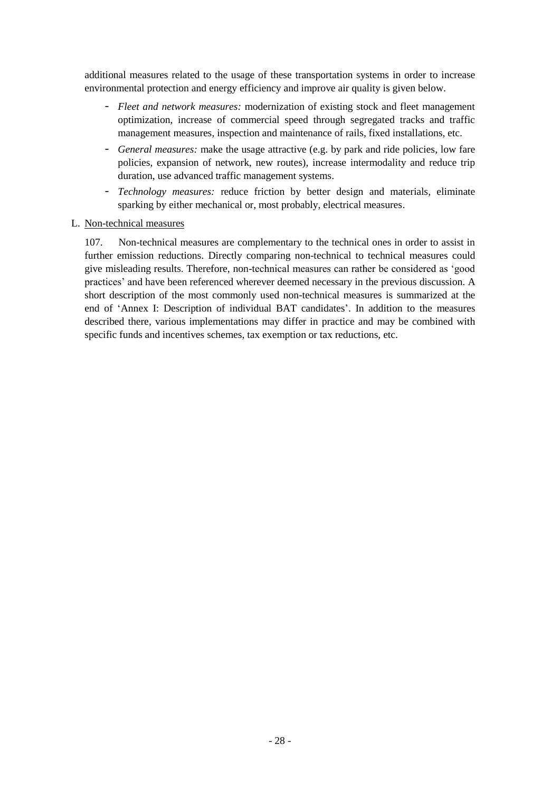additional measures related to the usage of these transportation systems in order to increase environmental protection and energy efficiency and improve air quality is given below.

- *Fleet and network measures:* modernization of existing stock and fleet management optimization, increase of commercial speed through segregated tracks and traffic management measures, inspection and maintenance of rails, fixed installations, etc.
- *General measures:* make the usage attractive (e.g. by park and ride policies, low fare policies, expansion of network, new routes), increase intermodality and reduce trip duration, use advanced traffic management systems.
- *Technology measures:* reduce friction by better design and materials, eliminate sparking by either mechanical or, most probably, electrical measures.

#### <span id="page-27-0"></span>L. Non-technical measures

107. Non-technical measures are complementary to the technical ones in order to assist in further emission reductions. Directly comparing non-technical to technical measures could give misleading results. Therefore, non-technical measures can rather be considered as 'good practices' and have been referenced wherever deemed necessary in the previous discussion. A short description of the most commonly used non-technical measures is summarized at the end of 'Annex [I: Description of individual BAT candidates'](#page-30-0). In addition to the measures described there, various implementations may differ in practice and may be combined with specific funds and incentives schemes, tax exemption or tax reductions, etc.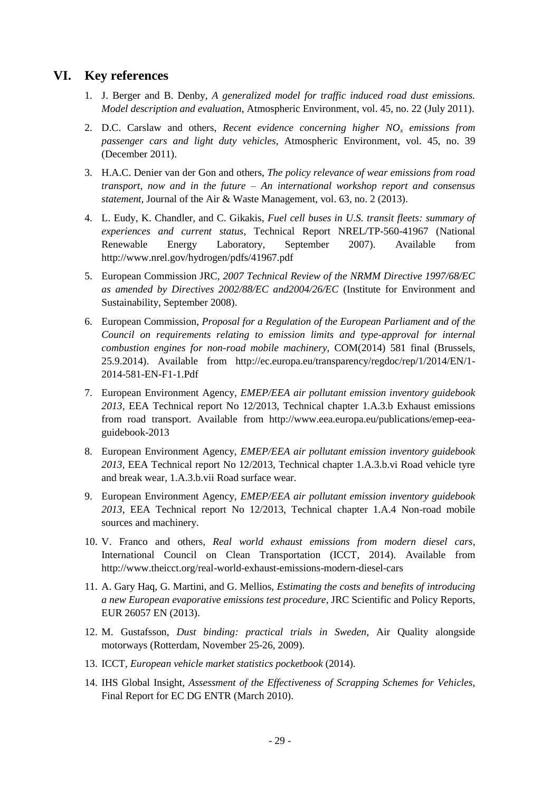# **VI. Key references**

- <span id="page-28-10"></span><span id="page-28-0"></span>1. J. Berger and B. Denby, *A generalized model for traffic induced road dust emissions. Model description and evaluation*, Atmospheric Environment, vol. 45, no. 22 (July 2011).
- <span id="page-28-4"></span>2. D.C. Carslaw and others, *Recent evidence concerning higher NO<sup>x</sup> emissions from passenger cars and light duty vehicles*, Atmospheric Environment, vol. 45, no. 39 (December 2011).
- <span id="page-28-9"></span>3. H.A.C. Denier van der Gon and others, *The policy relevance of wear emissions from road transport, now and in the future – An international workshop report and consensus statement*, Journal of the Air & Waste Management, vol. 63, no. 2 (2013).
- <span id="page-28-7"></span>4. L. Eudy, K. Chandler, and C. Gikakis, *Fuel cell buses in U.S. transit fleets: summary of experiences and current status*, Technical Report NREL/TP-560-41967 (National Renewable Energy Laboratory, September 2007). Available from http://www.nrel.gov/hydrogen/pdfs/41967.pdf
- <span id="page-28-12"></span>5. European Commission JRC, *2007 Technical Review of the NRMM Directive 1997/68/EC as amended by Directives 2002/88/EC and2004/26/EC* (Institute for Environment and Sustainability, September 2008).
- <span id="page-28-14"></span>6. European Commission, *Proposal for a Regulation of the European Parliament and of the Council on requirements relating to emission limits and type-approval for internal combustion engines for non-road mobile machinery*, COM(2014) 581 final (Brussels, 25.9.2014). Available from http://ec.europa.eu/transparency/regdoc/rep/1/2014/EN/1- 2014-581-EN-F1-1.Pdf
- <span id="page-28-6"></span>7. European Environment Agency, *EMEP/EEA air pollutant emission inventory guidebook 2013*, EEA Technical report No 12/2013, Technical chapter 1.A.3.b Exhaust emissions from road transport. Available from http://www.eea.europa.eu/publications/emep-eeaguidebook-2013
- <span id="page-28-8"></span>8. European Environment Agency, *EMEP/EEA air pollutant emission inventory guidebook 2013*, EEA Technical report No 12/2013, Technical chapter 1.A.3.b.vi Road vehicle tyre and break wear, 1.A.3.b.vii Road surface wear.
- <span id="page-28-13"></span>9. European Environment Agency, *EMEP/EEA air pollutant emission inventory guidebook 2013*, EEA Technical report No 12/2013, Technical chapter 1.A.4 Non-road mobile sources and machinery.
- <span id="page-28-5"></span>10. V. Franco and others, *Real world exhaust emissions from modern diesel cars*, International Council on Clean Transportation (ICCT, 2014). Available from http://www.theicct.org/real-world-exhaust-emissions-modern-diesel-cars
- <span id="page-28-2"></span>11. A. Gary Haq, G. Martini, and G. Mellios, *Estimating the costs and benefits of introducing a new European evaporative emissions test procedure*, JRC Scientific and Policy Reports, EUR 26057 EN (2013).
- <span id="page-28-11"></span>12. M. Gustafsson, *Dust binding: practical trials in Sweden*, Air Quality alongside motorways (Rotterdam, November 25-26, 2009).
- <span id="page-28-3"></span>13. ICCT, *European vehicle market statistics pocketbook* (2014).
- <span id="page-28-1"></span>14. IHS Global Insight, *Assessment of the Effectiveness of Scrapping Schemes for Vehicles*, Final Report for EC DG ENTR (March 2010).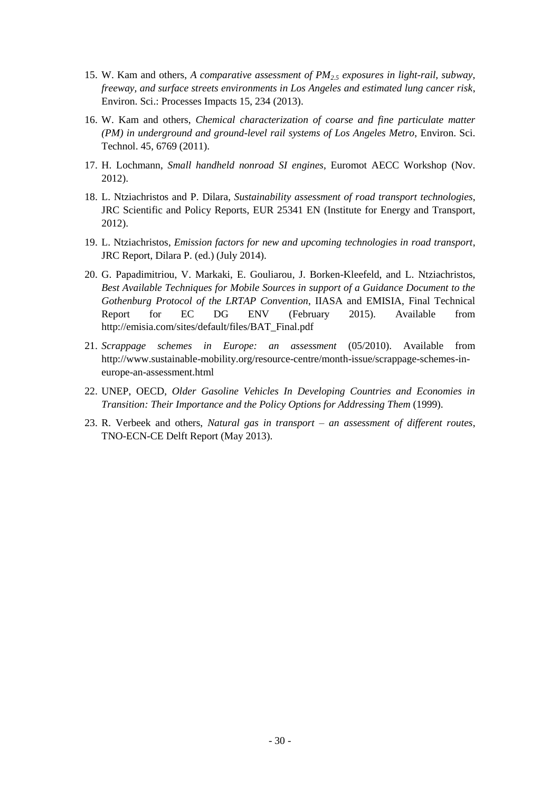- <span id="page-29-5"></span>15. W. Kam and others, *A comparative assessment of PM2.5 exposures in light-rail, subway, freeway, and surface streets environments in Los Angeles and estimated lung cancer risk*, Environ. Sci.: Processes Impacts 15, 234 (2013).
- <span id="page-29-6"></span>16. W. Kam and others, *Chemical characterization of coarse and fine particulate matter (PM) in underground and ground-level rail systems of Los Angeles Metro*, Environ. Sci. Technol. 45, 6769 (2011).
- 17. H. Lochmann, *Small handheld nonroad SI engines*, Euromot AECC Workshop (Nov. 2012).
- <span id="page-29-1"></span>18. L. Ntziachristos and P. Dilara, *Sustainability assessment of road transport technologies*, JRC Scientific and Policy Reports, EUR 25341 EN (Institute for Energy and Transport, 2012).
- <span id="page-29-4"></span>19. L. Ntziachristos, *Emission factors for new and upcoming technologies in road transport*, JRC Report, Dilara P. (ed.) (July 2014).
- <span id="page-29-0"></span>20. G. Papadimitriou, V. Markaki, E. Gouliarou, J. Borken-Kleefeld, and L. Ntziachristos, *Best Available Techniques for Mobile Sources in support of a Guidance Document to the Gothenburg Protocol of the LRTAP Convention*, IIASA and EMISIA, Final Technical Report for EC DG ENV (February 2015). Available from http://emisia.com/sites/default/files/BAT\_Final.pdf
- <span id="page-29-2"></span>21. *Scrappage schemes in Europe: an assessment* (05/2010). Available from http://www.sustainable-mobility.org/resource-centre/month-issue/scrappage-schemes-ineurope-an-assessment.html
- <span id="page-29-3"></span>22. UNEP, OECD, *Older Gasoline Vehicles In Developing Countries and Economies in Transition: Their Importance and the Policy Options for Addressing Them* (1999).
- 23. R. Verbeek and others, *Natural gas in transport – an assessment of different routes*, TNO-ECN-CE Delft Report (May 2013).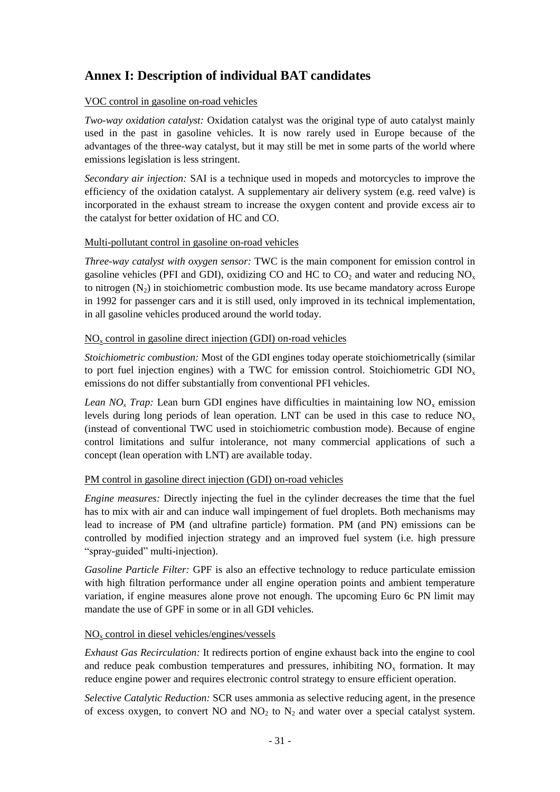# <span id="page-30-0"></span>**Annex I: Description of individual BAT candidates**

### VOC control in gasoline on-road vehicles

*Two-way oxidation catalyst:* Oxidation catalyst was the original type of auto catalyst mainly used in the past in gasoline vehicles. It is now rarely used in Europe because of the advantages of the three-way catalyst, but it may still be met in some parts of the world where emissions legislation is less stringent.

*Secondary air injection:* SAI is a technique used in mopeds and motorcycles to improve the efficiency of the oxidation catalyst. A supplementary air delivery system (e.g. reed valve) is incorporated in the exhaust stream to increase the oxygen content and provide excess air to the catalyst for better oxidation of HC and CO.

#### Multi-pollutant control in gasoline on-road vehicles

*Three-way catalyst with oxygen sensor:* TWC is the main component for emission control in gasoline vehicles (PFI and GDI), oxidizing CO and HC to  $CO<sub>2</sub>$  and water and reducing NO<sub>x</sub> to nitrogen  $(N<sub>2</sub>)$  in stoichiometric combustion mode. Its use became mandatory across Europe in 1992 for passenger cars and it is still used, only improved in its technical implementation, in all gasoline vehicles produced around the world today.

#### $NO<sub>x</sub>$  control in gasoline direct injection (GDI) on-road vehicles

*Stoichiometric combustion:* Most of the GDI engines today operate stoichiometrically (similar to port fuel injection engines) with a TWC for emission control. Stoichiometric GDI  $NO<sub>x</sub>$ emissions do not differ substantially from conventional PFI vehicles.

*Lean NO<sub>x</sub> Trap*: Lean burn GDI engines have difficulties in maintaining low NO<sub>x</sub> emission levels during long periods of lean operation. LNT can be used in this case to reduce  $NO<sub>x</sub>$ (instead of conventional TWC used in stoichiometric combustion mode). Because of engine control limitations and sulfur intolerance, not many commercial applications of such a concept (lean operation with LNT) are available today.

### PM control in gasoline direct injection (GDI) on-road vehicles

*Engine measures:* Directly injecting the fuel in the cylinder decreases the time that the fuel has to mix with air and can induce wall impingement of fuel droplets. Both mechanisms may lead to increase of PM (and ultrafine particle) formation. PM (and PN) emissions can be controlled by modified injection strategy and an improved fuel system (i.e. high pressure "spray-guided" multi-injection).

*Gasoline Particle Filter:* GPF is also an effective technology to reduce particulate emission with high filtration performance under all engine operation points and ambient temperature variation, if engine measures alone prove not enough. The upcoming Euro 6c PN limit may mandate the use of GPF in some or in all GDI vehicles.

### NO<sup>x</sup> control in diesel vehicles/engines/vessels

*Exhaust Gas Recirculation:* It redirects portion of engine exhaust back into the engine to cool and reduce peak combustion temperatures and pressures, inhibiting  $NO<sub>x</sub>$  formation. It may reduce engine power and requires electronic control strategy to ensure efficient operation.

*Selective Catalytic Reduction:* SCR uses ammonia as selective reducing agent, in the presence of excess oxygen, to convert NO and  $NO<sub>2</sub>$  to  $N<sub>2</sub>$  and water over a special catalyst system.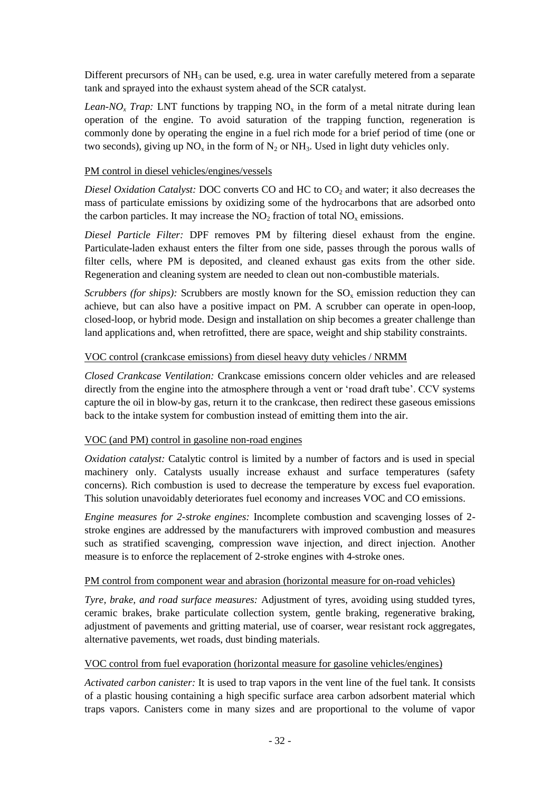Different precursors of  $NH_3$  can be used, e.g. urea in water carefully metered from a separate tank and sprayed into the exhaust system ahead of the SCR catalyst.

*Lean-NO<sub>x</sub> Trap*: LNT functions by trapping  $NO_x$  in the form of a metal nitrate during lean operation of the engine. To avoid saturation of the trapping function, regeneration is commonly done by operating the engine in a fuel rich mode for a brief period of time (one or two seconds), giving up  $NO<sub>x</sub>$  in the form of  $N<sub>2</sub>$  or  $NH<sub>3</sub>$ . Used in light duty vehicles only.

#### PM control in diesel vehicles/engines/vessels

*Diesel Oxidation Catalyst:* DOC converts CO and HC to CO<sub>2</sub> and water; it also decreases the mass of particulate emissions by oxidizing some of the hydrocarbons that are adsorbed onto the carbon particles. It may increase the  $NO<sub>2</sub>$  fraction of total  $NO<sub>x</sub>$  emissions.

*Diesel Particle Filter:* DPF removes PM by filtering diesel exhaust from the engine. Particulate-laden exhaust enters the filter from one side, passes through the porous walls of filter cells, where PM is deposited, and cleaned exhaust gas exits from the other side. Regeneration and cleaning system are needed to clean out non-combustible materials.

*Scrubbers (for ships)*: Scrubbers are mostly known for the  $SO_x$  emission reduction they can achieve, but can also have a positive impact on PM. A scrubber can operate in open-loop, closed-loop, or hybrid mode. Design and installation on ship becomes a greater challenge than land applications and, when retrofitted, there are space, weight and ship stability constraints.

### VOC control (crankcase emissions) from diesel heavy duty vehicles / NRMM

*Closed Crankcase Ventilation:* Crankcase emissions concern older vehicles and are released directly from the engine into the atmosphere through a vent or 'road draft tube'. CCV systems capture the oil in blow-by gas, return it to the crankcase, then redirect these gaseous emissions back to the intake system for combustion instead of emitting them into the air.

### VOC (and PM) control in gasoline non-road engines

*Oxidation catalyst:* Catalytic control is limited by a number of factors and is used in special machinery only. Catalysts usually increase exhaust and surface temperatures (safety concerns). Rich combustion is used to decrease the temperature by excess fuel evaporation. This solution unavoidably deteriorates fuel economy and increases VOC and CO emissions.

*Engine measures for 2-stroke engines:* Incomplete combustion and scavenging losses of 2 stroke engines are addressed by the manufacturers with improved combustion and measures such as stratified scavenging, compression wave injection, and direct injection. Another measure is to enforce the replacement of 2-stroke engines with 4-stroke ones.

#### PM control from component wear and abrasion (horizontal measure for on-road vehicles)

*Tyre, brake, and road surface measures:* Adjustment of tyres, avoiding using studded tyres, ceramic brakes, brake particulate collection system, gentle braking, regenerative braking, adjustment of pavements and gritting material, use of coarser, wear resistant rock aggregates, alternative pavements, wet roads, dust binding materials.

### VOC control from fuel evaporation (horizontal measure for gasoline vehicles/engines)

*Activated carbon canister:* It is used to trap vapors in the vent line of the fuel tank. It consists of a plastic housing containing a high specific surface area carbon adsorbent material which traps vapors. Canisters come in many sizes and are proportional to the volume of vapor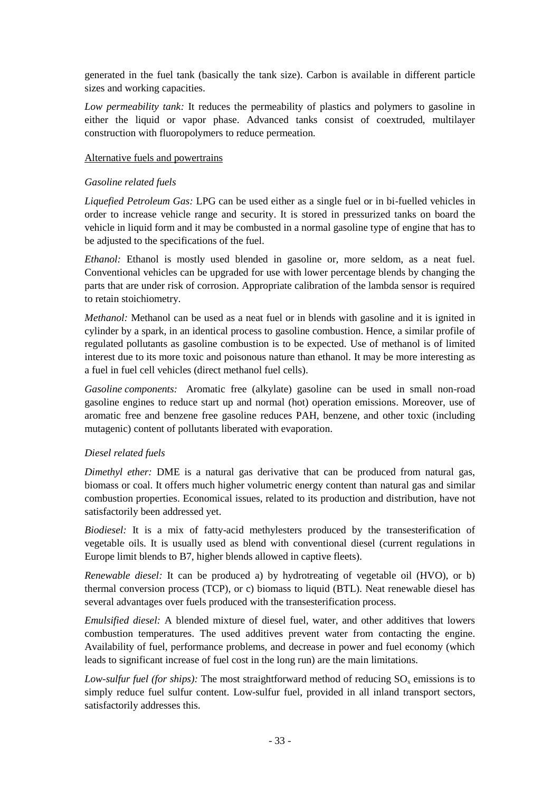generated in the fuel tank (basically the tank size). Carbon is available in different particle sizes and working capacities.

*Low permeability tank:* It reduces the permeability of plastics and polymers to gasoline in either the liquid or vapor phase. Advanced tanks consist of coextruded, multilayer construction with fluoropolymers to reduce permeation.

#### Alternative fuels and powertrains

#### *Gasoline related fuels*

*Liquefied Petroleum Gas:* LPG can be used either as a single fuel or in bi-fuelled vehicles in order to increase vehicle range and security. It is stored in pressurized tanks on board the vehicle in liquid form and it may be combusted in a normal gasoline type of engine that has to be adjusted to the specifications of the fuel.

*Ethanol:* Ethanol is mostly used blended in gasoline or, more seldom, as a neat fuel. Conventional vehicles can be upgraded for use with lower percentage blends by changing the parts that are under risk of corrosion. Appropriate calibration of the lambda sensor is required to retain stoichiometry.

*Methanol:* Methanol can be used as a neat fuel or in blends with gasoline and it is ignited in cylinder by a spark, in an identical process to gasoline combustion. Hence, a similar profile of regulated pollutants as gasoline combustion is to be expected. Use of methanol is of limited interest due to its more toxic and poisonous nature than ethanol. It may be more interesting as a fuel in fuel cell vehicles (direct methanol fuel cells).

*Gasoline components:* Aromatic free (alkylate) gasoline can be used in small non-road gasoline engines to reduce start up and normal (hot) operation emissions. Moreover, use of aromatic free and benzene free gasoline reduces PAH, benzene, and other toxic (including mutagenic) content of pollutants liberated with evaporation.

### *Diesel related fuels*

*Dimethyl ether:* DME is a natural gas derivative that can be produced from natural gas, biomass or coal. It offers much higher volumetric energy content than natural gas and similar combustion properties. Economical issues, related to its production and distribution, have not satisfactorily been addressed yet.

*Biodiesel:* It is a mix of fatty-acid methylesters produced by the transesterification of vegetable oils. It is usually used as blend with conventional diesel (current regulations in Europe limit blends to B7, higher blends allowed in captive fleets).

*Renewable diesel:* It can be produced a) by hydrotreating of vegetable oil (HVO), or b) thermal conversion process (TCP), or c) biomass to liquid (BTL). Neat renewable diesel has several advantages over fuels produced with the transesterification process.

*Emulsified diesel:* A blended mixture of diesel fuel, water, and other additives that lowers combustion temperatures. The used additives prevent water from contacting the engine. Availability of fuel, performance problems, and decrease in power and fuel economy (which leads to significant increase of fuel cost in the long run) are the main limitations.

*Low-sulfur fuel (for ships):* The most straightforward method of reducing  $SO_{x}$  emissions is to simply reduce fuel sulfur content. Low-sulfur fuel, provided in all inland transport sectors, satisfactorily addresses this.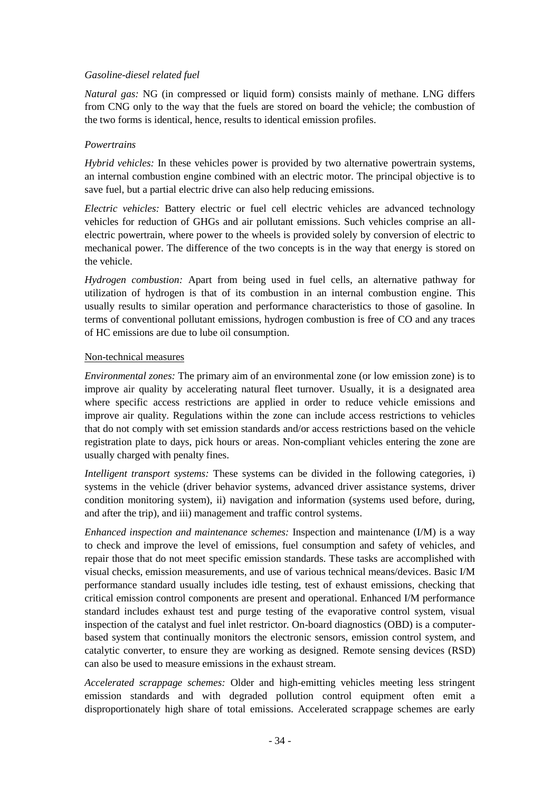### *Gasoline-diesel related fuel*

*Natural gas:* NG (in compressed or liquid form) consists mainly of methane. LNG differs from CNG only to the way that the fuels are stored on board the vehicle; the combustion of the two forms is identical, hence, results to identical emission profiles.

### *Powertrains*

*Hybrid vehicles:* In these vehicles power is provided by two alternative powertrain systems, an internal combustion engine combined with an electric motor. The principal objective is to save fuel, but a partial electric drive can also help reducing emissions.

*Electric vehicles:* Battery electric or fuel cell electric vehicles are advanced technology vehicles for reduction of GHGs and air pollutant emissions. Such vehicles comprise an allelectric powertrain, where power to the wheels is provided solely by conversion of electric to mechanical power. The difference of the two concepts is in the way that energy is stored on the vehicle.

*Hydrogen combustion:* Apart from being used in fuel cells, an alternative pathway for utilization of hydrogen is that of its combustion in an internal combustion engine. This usually results to similar operation and performance characteristics to those of gasoline. In terms of conventional pollutant emissions, hydrogen combustion is free of CO and any traces of HC emissions are due to lube oil consumption.

#### Non-technical measures

*Environmental zones:* The primary aim of an environmental zone (or low emission zone) is to improve air quality by accelerating natural fleet turnover. Usually, it is a designated area where specific access restrictions are applied in order to reduce vehicle emissions and improve air quality. Regulations within the zone can include access restrictions to vehicles that do not comply with set emission standards and/or access restrictions based on the vehicle registration plate to days, pick hours or areas. Non-compliant vehicles entering the zone are usually charged with penalty fines.

*Intelligent transport systems:* These systems can be divided in the following categories, i) systems in the vehicle (driver behavior systems, advanced driver assistance systems, driver condition monitoring system), ii) navigation and information (systems used before, during, and after the trip), and iii) management and traffic control systems.

*Enhanced inspection and maintenance schemes:* Inspection and maintenance (I/M) is a way to check and improve the level of emissions, fuel consumption and safety of vehicles, and repair those that do not meet specific emission standards. These tasks are accomplished with visual checks, emission measurements, and use of various technical means/devices. Basic I/M performance standard usually includes idle testing, test of exhaust emissions, checking that critical emission control components are present and operational. Enhanced I/M performance standard includes exhaust test and purge testing of the evaporative control system, visual inspection of the catalyst and fuel inlet restrictor. On-board diagnostics (OBD) is a computerbased system that continually monitors the electronic sensors, emission control system, and catalytic converter, to ensure they are working as designed. Remote sensing devices (RSD) can also be used to measure emissions in the exhaust stream.

*Accelerated scrappage schemes:* Older and high-emitting vehicles meeting less stringent emission standards and with degraded pollution control equipment often emit a disproportionately high share of total emissions. Accelerated scrappage schemes are early